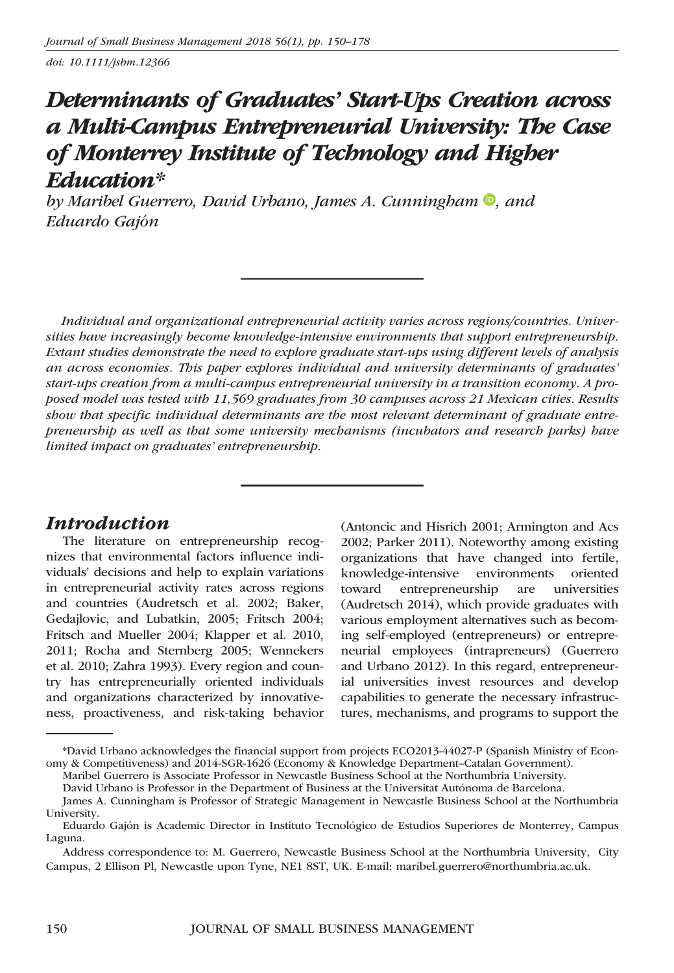doi: 10.1111/jsbm.12366

# Determinants of Graduates' Start-Ups Creation across a Multi-Campus Entrepreneurial University: The Case of Monterrey Institute of Technology and Higher Education\*

by Maribel Guerrero[,](http://orcid.org/0000-0002-2708-166X) David Urbano, James A. Cunningham  $\mathbf{D}$ , and Eduardo Gajon-

Individual and organizational entrepreneurial activity varies across regions/countries. Universities have increasingly become knowledge-intensive environments that support entrepreneurship. Extant studies demonstrate the need to explore graduate start-ups using different levels of analysis an across economies. This paper explores individual and university determinants of graduates' start-ups creation from a multi-campus entrepreneurial university in a transition economy. A proposed model was tested with 11,569 graduates from 30 campuses across 21 Mexican cities. Results show that specific individual determinants are the most relevant determinant of graduate entrepreneurship as well as that some university mechanisms (incubators and research parks) have limited impact on graduates' entrepreneurship.

# Introduction

The literature on entrepreneurship recognizes that environmental factors influence individuals' decisions and help to explain variations in entrepreneurial activity rates across regions and countries (Audretsch et al. 2002; Baker, Gedajlovic, and Lubatkin, 2005; Fritsch 2004; Fritsch and Mueller 2004; Klapper et al. 2010, 2011; Rocha and Sternberg 2005; Wennekers et al. 2010; Zahra 1993). Every region and country has entrepreneurially oriented individuals and organizations characterized by innovativeness, proactiveness, and risk-taking behavior (Antoncic and Hisrich 2001; Armington and Acs 2002; Parker 2011). Noteworthy among existing organizations that have changed into fertile, knowledge-intensive environments oriented toward entrepreneurship are universities (Audretsch 2014), which provide graduates with various employment alternatives such as becoming self-employed (entrepreneurs) or entrepreneurial employees (intrapreneurs) (Guerrero and Urbano 2012). In this regard, entrepreneurial universities invest resources and develop capabilities to generate the necessary infrastructures, mechanisms, and programs to support the

<sup>\*</sup>David Urbano acknowledges the financial support from projects ECO2013-44027-P (Spanish Ministry of Economy & Competitiveness) and 2014-SGR-1626 (Economy & Knowledge Department–Catalan Government).

Maribel Guerrero is Associate Professor in Newcastle Business School at the Northumbria University.

David Urbano is Professor in the Department of Business at the Universitat Autónoma de Barcelona.

James A. Cunningham is Professor of Strategic Management in Newcastle Business School at the Northumbria University.

Eduardo Gajón is Academic Director in Instituto Tecnológico de Estudios Superiores de Monterrey, Campus Laguna.

Address correspondence to: M. Guerrero, Newcastle Business School at the Northumbria University, City Campus, 2 Ellison Pl, Newcastle upon Tyne, NE1 8ST, UK. E-mail: maribel.guerrero@northumbria.ac.uk.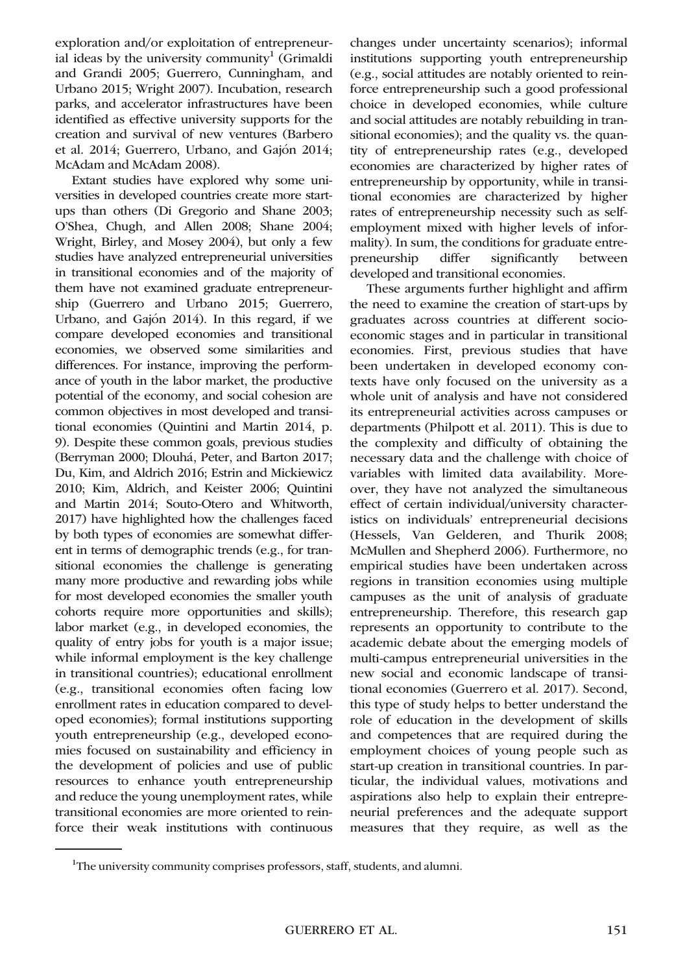exploration and/or exploitation of entrepreneurial ideas by the university community<sup>1</sup> (Grimaldi and Grandi 2005; Guerrero, Cunningham, and Urbano 2015; Wright 2007). Incubation, research parks, and accelerator infrastructures have been identified as effective university supports for the creation and survival of new ventures (Barbero et al. 2014; Guerrero, Urbano, and Gajón 2014; McAdam and McAdam 2008).

Extant studies have explored why some universities in developed countries create more startups than others (Di Gregorio and Shane 2003; O'Shea, Chugh, and Allen 2008; Shane 2004; Wright, Birley, and Mosey 2004), but only a few studies have analyzed entrepreneurial universities in transitional economies and of the majority of them have not examined graduate entrepreneurship (Guerrero and Urbano 2015; Guerrero, Urbano, and Gajón 2014). In this regard, if we compare developed economies and transitional economies, we observed some similarities and differences. For instance, improving the performance of youth in the labor market, the productive potential of the economy, and social cohesion are common objectives in most developed and transitional economies (Quintini and Martin 2014, p. 9). Despite these common goals, previous studies (Berryman 2000; Dlouhá, Peter, and Barton 2017; Du, Kim, and Aldrich 2016; Estrin and Mickiewicz 2010; Kim, Aldrich, and Keister 2006; Quintini and Martin 2014; Souto-Otero and Whitworth, 2017) have highlighted how the challenges faced by both types of economies are somewhat different in terms of demographic trends (e.g., for transitional economies the challenge is generating many more productive and rewarding jobs while for most developed economies the smaller youth cohorts require more opportunities and skills); labor market (e.g., in developed economies, the quality of entry jobs for youth is a major issue; while informal employment is the key challenge in transitional countries); educational enrollment (e.g., transitional economies often facing low enrollment rates in education compared to developed economies); formal institutions supporting youth entrepreneurship (e.g., developed economies focused on sustainability and efficiency in the development of policies and use of public resources to enhance youth entrepreneurship and reduce the young unemployment rates, while transitional economies are more oriented to reinforce their weak institutions with continuous

changes under uncertainty scenarios); informal institutions supporting youth entrepreneurship (e.g., social attitudes are notably oriented to reinforce entrepreneurship such a good professional choice in developed economies, while culture and social attitudes are notably rebuilding in transitional economies); and the quality vs. the quantity of entrepreneurship rates (e.g., developed economies are characterized by higher rates of entrepreneurship by opportunity, while in transitional economies are characterized by higher rates of entrepreneurship necessity such as selfemployment mixed with higher levels of informality). In sum, the conditions for graduate entrepreneurship differ significantly between developed and transitional economies.

These arguments further highlight and affirm the need to examine the creation of start-ups by graduates across countries at different socioeconomic stages and in particular in transitional economies. First, previous studies that have been undertaken in developed economy contexts have only focused on the university as a whole unit of analysis and have not considered its entrepreneurial activities across campuses or departments (Philpott et al. 2011). This is due to the complexity and difficulty of obtaining the necessary data and the challenge with choice of variables with limited data availability. Moreover, they have not analyzed the simultaneous effect of certain individual/university characteristics on individuals' entrepreneurial decisions (Hessels, Van Gelderen, and Thurik 2008; McMullen and Shepherd 2006). Furthermore, no empirical studies have been undertaken across regions in transition economies using multiple campuses as the unit of analysis of graduate entrepreneurship. Therefore, this research gap represents an opportunity to contribute to the academic debate about the emerging models of multi-campus entrepreneurial universities in the new social and economic landscape of transitional economies (Guerrero et al. 2017). Second, this type of study helps to better understand the role of education in the development of skills and competences that are required during the employment choices of young people such as start-up creation in transitional countries. In particular, the individual values, motivations and aspirations also help to explain their entrepreneurial preferences and the adequate support measures that they require, as well as the

<sup>&</sup>lt;sup>1</sup>The university community comprises professors, staff, students, and alumni.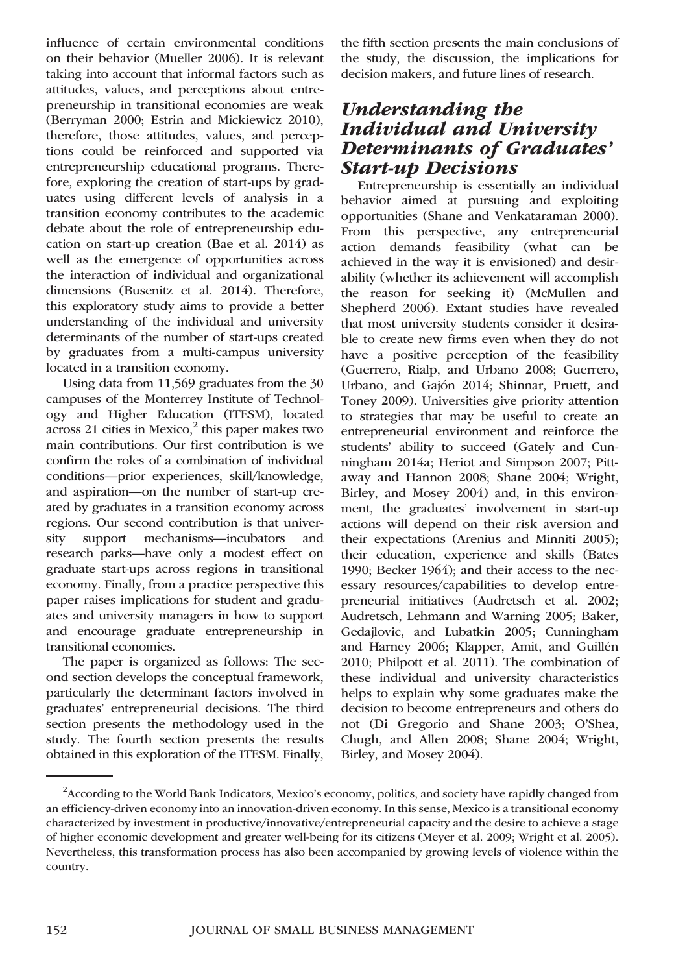influence of certain environmental conditions on their behavior (Mueller 2006). It is relevant taking into account that informal factors such as attitudes, values, and perceptions about entrepreneurship in transitional economies are weak (Berryman 2000; Estrin and Mickiewicz 2010), therefore, those attitudes, values, and perceptions could be reinforced and supported via entrepreneurship educational programs. Therefore, exploring the creation of start-ups by graduates using different levels of analysis in a transition economy contributes to the academic debate about the role of entrepreneurship education on start-up creation (Bae et al. 2014) as well as the emergence of opportunities across the interaction of individual and organizational dimensions (Busenitz et al. 2014). Therefore, this exploratory study aims to provide a better understanding of the individual and university determinants of the number of start-ups created by graduates from a multi-campus university located in a transition economy.

Using data from 11,569 graduates from the 30 campuses of the Monterrey Institute of Technology and Higher Education (ITESM), located across 21 cities in Mexico, $\frac{2}{3}$  this paper makes two main contributions. Our first contribution is we confirm the roles of a combination of individual conditions—prior experiences, skill/knowledge, and aspiration—on the number of start-up created by graduates in a transition economy across regions. Our second contribution is that university support mechanisms—incubators and research parks—have only a modest effect on graduate start-ups across regions in transitional economy. Finally, from a practice perspective this paper raises implications for student and graduates and university managers in how to support and encourage graduate entrepreneurship in transitional economies.

The paper is organized as follows: The second section develops the conceptual framework, particularly the determinant factors involved in graduates' entrepreneurial decisions. The third section presents the methodology used in the study. The fourth section presents the results obtained in this exploration of the ITESM. Finally,

the fifth section presents the main conclusions of the study, the discussion, the implications for decision makers, and future lines of research.

# Understanding the Individual and University Determinants of Graduates' Start-up Decisions

Entrepreneurship is essentially an individual behavior aimed at pursuing and exploiting opportunities (Shane and Venkataraman 2000). From this perspective, any entrepreneurial action demands feasibility (what can be achieved in the way it is envisioned) and desirability (whether its achievement will accomplish the reason for seeking it) (McMullen and Shepherd 2006). Extant studies have revealed that most university students consider it desirable to create new firms even when they do not have a positive perception of the feasibility (Guerrero, Rialp, and Urbano 2008; Guerrero, Urbano, and Gajón 2014; Shinnar, Pruett, and Toney 2009). Universities give priority attention to strategies that may be useful to create an entrepreneurial environment and reinforce the students' ability to succeed (Gately and Cunningham 2014a; Heriot and Simpson 2007; Pittaway and Hannon 2008; Shane 2004; Wright, Birley, and Mosey 2004) and, in this environment, the graduates' involvement in start-up actions will depend on their risk aversion and their expectations (Arenius and Minniti 2005); their education, experience and skills (Bates 1990; Becker 1964); and their access to the necessary resources/capabilities to develop entrepreneurial initiatives (Audretsch et al. 2002; Audretsch, Lehmann and Warning 2005; Baker, Gedajlovic, and Lubatkin 2005; Cunningham and Harney 2006; Klapper, Amit, and Guillén 2010; Philpott et al. 2011). The combination of these individual and university characteristics helps to explain why some graduates make the decision to become entrepreneurs and others do not (Di Gregorio and Shane 2003; O'Shea, Chugh, and Allen 2008; Shane 2004; Wright, Birley, and Mosey 2004).

<sup>&</sup>lt;sup>2</sup> According to the World Bank Indicators, Mexico's economy, politics, and society have rapidly changed from an efficiency-driven economy into an innovation-driven economy. In this sense, Mexico is a transitional economy characterized by investment in productive/innovative/entrepreneurial capacity and the desire to achieve a stage of higher economic development and greater well-being for its citizens (Meyer et al. 2009; Wright et al. 2005). Nevertheless, this transformation process has also been accompanied by growing levels of violence within the country.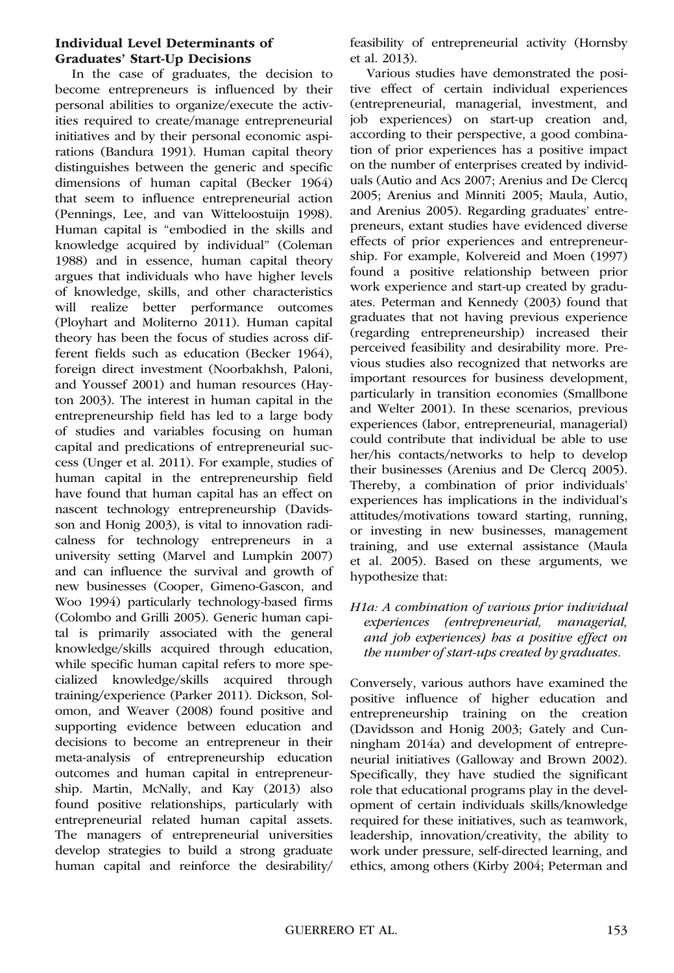#### Individual Level Determinants of Graduates' Start-Up Decisions

In the case of graduates, the decision to become entrepreneurs is influenced by their personal abilities to organize/execute the activities required to create/manage entrepreneurial initiatives and by their personal economic aspirations (Bandura 1991). Human capital theory distinguishes between the generic and specific dimensions of human capital (Becker 1964) that seem to influence entrepreneurial action (Pennings, Lee, and van Witteloostuijn 1998). Human capital is "embodied in the skills and knowledge acquired by individual" (Coleman 1988) and in essence, human capital theory argues that individuals who have higher levels of knowledge, skills, and other characteristics will realize better performance outcomes (Ployhart and Moliterno 2011). Human capital theory has been the focus of studies across different fields such as education (Becker 1964), foreign direct investment (Noorbakhsh, Paloni, and Youssef 2001) and human resources (Hayton 2003). The interest in human capital in the entrepreneurship field has led to a large body of studies and variables focusing on human capital and predications of entrepreneurial success (Unger et al. 2011). For example, studies of human capital in the entrepreneurship field have found that human capital has an effect on nascent technology entrepreneurship (Davidsson and Honig 2003), is vital to innovation radicalness for technology entrepreneurs in a university setting (Marvel and Lumpkin 2007) and can influence the survival and growth of new businesses (Cooper, Gimeno-Gascon, and Woo 1994) particularly technology-based firms (Colombo and Grilli 2005). Generic human capital is primarily associated with the general knowledge/skills acquired through education, while specific human capital refers to more specialized knowledge/skills acquired through training/experience (Parker 2011). Dickson, Solomon, and Weaver (2008) found positive and supporting evidence between education and decisions to become an entrepreneur in their meta-analysis of entrepreneurship education outcomes and human capital in entrepreneurship. Martin, McNally, and Kay (2013) also found positive relationships, particularly with entrepreneurial related human capital assets. The managers of entrepreneurial universities develop strategies to build a strong graduate human capital and reinforce the desirability/ feasibility of entrepreneurial activity (Hornsby et al. 2013).

Various studies have demonstrated the positive effect of certain individual experiences (entrepreneurial, managerial, investment, and job experiences) on start-up creation and, according to their perspective, a good combination of prior experiences has a positive impact on the number of enterprises created by individuals (Autio and Acs 2007; Arenius and De Clercq 2005; Arenius and Minniti 2005; Maula, Autio, and Arenius 2005). Regarding graduates' entrepreneurs, extant studies have evidenced diverse effects of prior experiences and entrepreneurship. For example, Kolvereid and Moen (1997) found a positive relationship between prior work experience and start-up created by graduates. Peterman and Kennedy (2003) found that graduates that not having previous experience (regarding entrepreneurship) increased their perceived feasibility and desirability more. Previous studies also recognized that networks are important resources for business development, particularly in transition economies (Smallbone and Welter 2001). In these scenarios, previous experiences (labor, entrepreneurial, managerial) could contribute that individual be able to use her/his contacts/networks to help to develop their businesses (Arenius and De Clercq 2005). Thereby, a combination of prior individuals' experiences has implications in the individual's attitudes/motivations toward starting, running, or investing in new businesses, management training, and use external assistance (Maula et al. 2005). Based on these arguments, we hypothesize that:

H1a: A combination of various prior individual experiences (entrepreneurial, managerial, and job experiences) has a positive effect on the number of start-ups created by graduates.

Conversely, various authors have examined the positive influence of higher education and entrepreneurship training on the creation (Davidsson and Honig 2003; Gately and Cunningham 2014a) and development of entrepreneurial initiatives (Galloway and Brown 2002). Specifically, they have studied the significant role that educational programs play in the development of certain individuals skills/knowledge required for these initiatives, such as teamwork, leadership, innovation/creativity, the ability to work under pressure, self-directed learning, and ethics, among others (Kirby 2004; Peterman and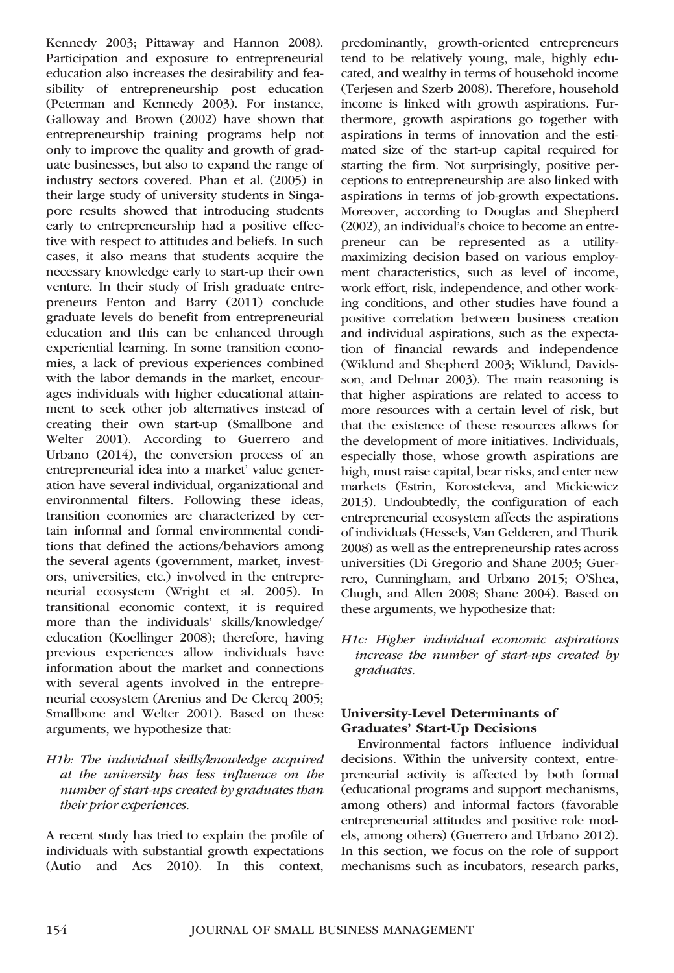Kennedy 2003; Pittaway and Hannon 2008). Participation and exposure to entrepreneurial education also increases the desirability and feasibility of entrepreneurship post education (Peterman and Kennedy 2003). For instance, Galloway and Brown (2002) have shown that entrepreneurship training programs help not only to improve the quality and growth of graduate businesses, but also to expand the range of industry sectors covered. Phan et al. (2005) in their large study of university students in Singapore results showed that introducing students early to entrepreneurship had a positive effective with respect to attitudes and beliefs. In such cases, it also means that students acquire the necessary knowledge early to start-up their own venture. In their study of Irish graduate entrepreneurs Fenton and Barry (2011) conclude graduate levels do benefit from entrepreneurial education and this can be enhanced through experiential learning. In some transition economies, a lack of previous experiences combined with the labor demands in the market, encourages individuals with higher educational attainment to seek other job alternatives instead of creating their own start-up (Smallbone and Welter 2001). According to Guerrero and Urbano (2014), the conversion process of an entrepreneurial idea into a market' value generation have several individual, organizational and environmental filters. Following these ideas, transition economies are characterized by certain informal and formal environmental conditions that defined the actions/behaviors among the several agents (government, market, investors, universities, etc.) involved in the entrepreneurial ecosystem (Wright et al. 2005). In transitional economic context, it is required more than the individuals' skills/knowledge/ education (Koellinger 2008); therefore, having previous experiences allow individuals have information about the market and connections with several agents involved in the entrepreneurial ecosystem (Arenius and De Clercq 2005; Smallbone and Welter 2001). Based on these arguments, we hypothesize that:

H1b: The individual skills/knowledge acquired at the university has less influence on the number of start-ups created by graduates than their prior experiences.

A recent study has tried to explain the profile of individuals with substantial growth expectations (Autio and Acs 2010). In this context,

predominantly, growth-oriented entrepreneurs tend to be relatively young, male, highly educated, and wealthy in terms of household income (Terjesen and Szerb 2008). Therefore, household income is linked with growth aspirations. Furthermore, growth aspirations go together with aspirations in terms of innovation and the estimated size of the start-up capital required for starting the firm. Not surprisingly, positive perceptions to entrepreneurship are also linked with aspirations in terms of job-growth expectations. Moreover, according to Douglas and Shepherd (2002), an individual's choice to become an entrepreneur can be represented as a utilitymaximizing decision based on various employment characteristics, such as level of income, work effort, risk, independence, and other working conditions, and other studies have found a positive correlation between business creation and individual aspirations, such as the expectation of financial rewards and independence (Wiklund and Shepherd 2003; Wiklund, Davidsson, and Delmar 2003). The main reasoning is that higher aspirations are related to access to more resources with a certain level of risk, but that the existence of these resources allows for the development of more initiatives. Individuals, especially those, whose growth aspirations are high, must raise capital, bear risks, and enter new markets (Estrin, Korosteleva, and Mickiewicz 2013). Undoubtedly, the configuration of each entrepreneurial ecosystem affects the aspirations of individuals (Hessels, Van Gelderen, and Thurik 2008) as well as the entrepreneurship rates across universities (Di Gregorio and Shane 2003; Guerrero, Cunningham, and Urbano 2015; O'Shea, Chugh, and Allen 2008; Shane 2004). Based on these arguments, we hypothesize that:

H1c: Higher individual economic aspirations increase the number of start-ups created by graduates.

### University-Level Determinants of Graduates' Start-Up Decisions

Environmental factors influence individual decisions. Within the university context, entrepreneurial activity is affected by both formal (educational programs and support mechanisms, among others) and informal factors (favorable entrepreneurial attitudes and positive role models, among others) (Guerrero and Urbano 2012). In this section, we focus on the role of support mechanisms such as incubators, research parks,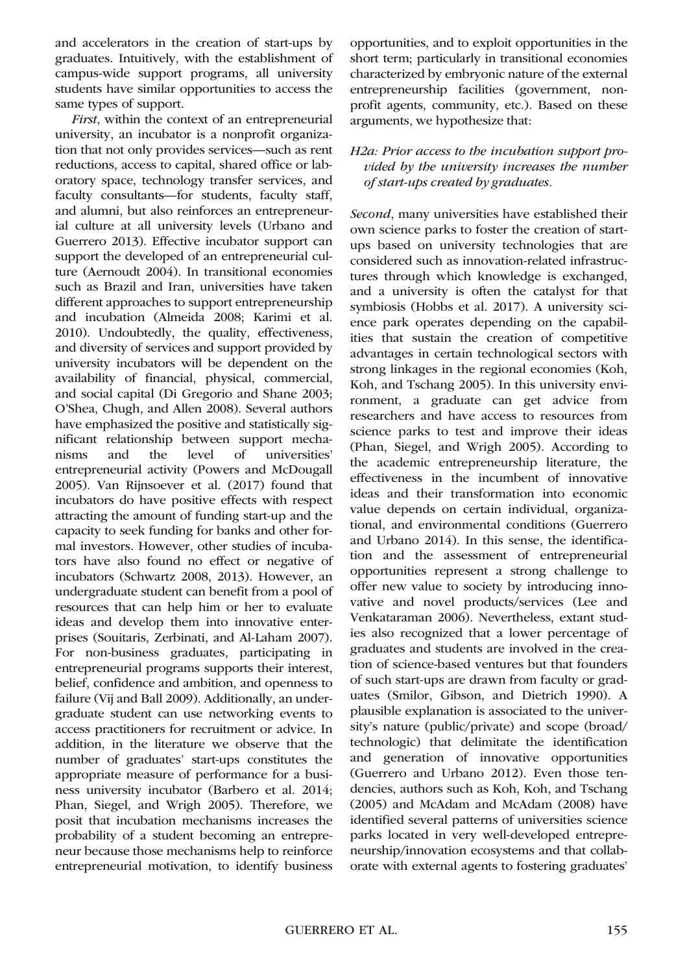and accelerators in the creation of start-ups by graduates. Intuitively, with the establishment of campus-wide support programs, all university students have similar opportunities to access the same types of support.

First, within the context of an entrepreneurial university, an incubator is a nonprofit organization that not only provides services—such as rent reductions, access to capital, shared office or laboratory space, technology transfer services, and faculty consultants—for students, faculty staff, and alumni, but also reinforces an entrepreneurial culture at all university levels (Urbano and Guerrero 2013). Effective incubator support can support the developed of an entrepreneurial culture (Aernoudt 2004). In transitional economies such as Brazil and Iran, universities have taken different approaches to support entrepreneurship and incubation (Almeida 2008; Karimi et al. 2010). Undoubtedly, the quality, effectiveness, and diversity of services and support provided by university incubators will be dependent on the availability of financial, physical, commercial, and social capital (Di Gregorio and Shane 2003; O'Shea, Chugh, and Allen 2008). Several authors have emphasized the positive and statistically significant relationship between support mechanisms and the level of universities' entrepreneurial activity (Powers and McDougall 2005). Van Rijnsoever et al. (2017) found that incubators do have positive effects with respect attracting the amount of funding start-up and the capacity to seek funding for banks and other formal investors. However, other studies of incubators have also found no effect or negative of incubators (Schwartz 2008, 2013). However, an undergraduate student can benefit from a pool of resources that can help him or her to evaluate ideas and develop them into innovative enterprises (Souitaris, Zerbinati, and Al-Laham 2007). For non-business graduates, participating in entrepreneurial programs supports their interest, belief, confidence and ambition, and openness to failure (Vij and Ball 2009). Additionally, an undergraduate student can use networking events to access practitioners for recruitment or advice. In addition, in the literature we observe that the number of graduates' start-ups constitutes the appropriate measure of performance for a business university incubator (Barbero et al. 2014; Phan, Siegel, and Wrigh 2005). Therefore, we posit that incubation mechanisms increases the probability of a student becoming an entrepreneur because those mechanisms help to reinforce entrepreneurial motivation, to identify business

opportunities, and to exploit opportunities in the short term; particularly in transitional economies characterized by embryonic nature of the external entrepreneurship facilities (government, nonprofit agents, community, etc.). Based on these arguments, we hypothesize that:

#### H2a: Prior access to the incubation support provided by the university increases the number of start-ups created by graduates.

Second, many universities have established their own science parks to foster the creation of startups based on university technologies that are considered such as innovation-related infrastructures through which knowledge is exchanged, and a university is often the catalyst for that symbiosis (Hobbs et al. 2017). A university science park operates depending on the capabilities that sustain the creation of competitive advantages in certain technological sectors with strong linkages in the regional economies (Koh, Koh, and Tschang 2005). In this university environment, a graduate can get advice from researchers and have access to resources from science parks to test and improve their ideas (Phan, Siegel, and Wrigh 2005). According to the academic entrepreneurship literature, the effectiveness in the incumbent of innovative ideas and their transformation into economic value depends on certain individual, organizational, and environmental conditions (Guerrero and Urbano 2014). In this sense, the identification and the assessment of entrepreneurial opportunities represent a strong challenge to offer new value to society by introducing innovative and novel products/services (Lee and Venkataraman 2006). Nevertheless, extant studies also recognized that a lower percentage of graduates and students are involved in the creation of science-based ventures but that founders of such start-ups are drawn from faculty or graduates (Smilor, Gibson, and Dietrich 1990). A plausible explanation is associated to the university's nature (public/private) and scope (broad/ technologic) that delimitate the identification and generation of innovative opportunities (Guerrero and Urbano 2012). Even those tendencies, authors such as Koh, Koh, and Tschang (2005) and McAdam and McAdam (2008) have identified several patterns of universities science parks located in very well-developed entrepreneurship/innovation ecosystems and that collaborate with external agents to fostering graduates'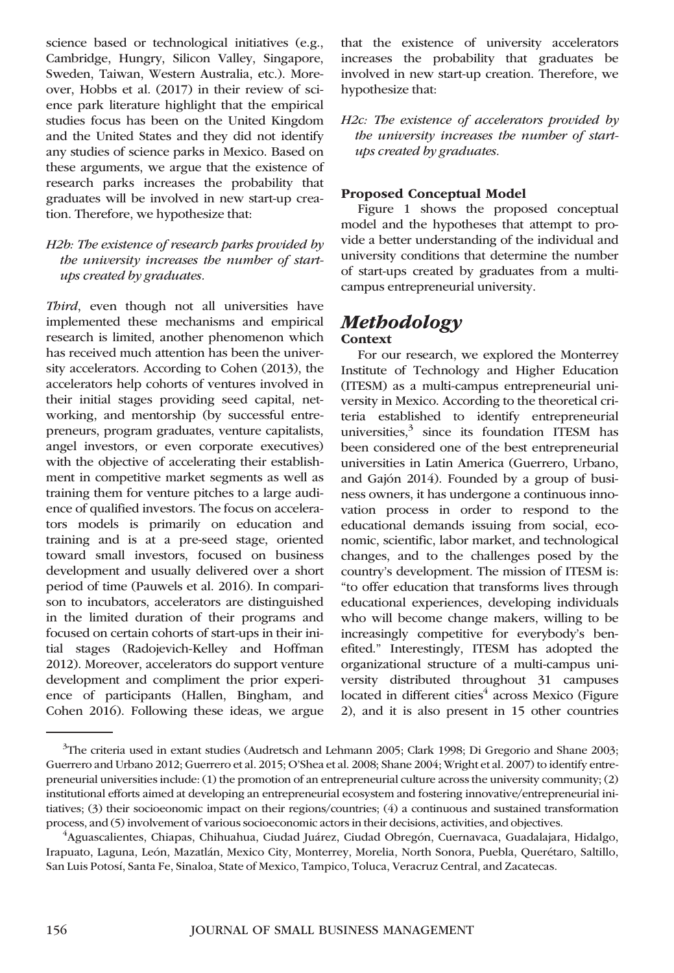science based or technological initiatives (e.g., Cambridge, Hungry, Silicon Valley, Singapore, Sweden, Taiwan, Western Australia, etc.). Moreover, Hobbs et al. (2017) in their review of science park literature highlight that the empirical studies focus has been on the United Kingdom and the United States and they did not identify any studies of science parks in Mexico. Based on these arguments, we argue that the existence of research parks increases the probability that graduates will be involved in new start-up creation. Therefore, we hypothesize that:

#### H2b: The existence of research parks provided by the university increases the number of startups created by graduates.

Third, even though not all universities have implemented these mechanisms and empirical research is limited, another phenomenon which has received much attention has been the university accelerators. According to Cohen (2013), the accelerators help cohorts of ventures involved in their initial stages providing seed capital, networking, and mentorship (by successful entrepreneurs, program graduates, venture capitalists, angel investors, or even corporate executives) with the objective of accelerating their establishment in competitive market segments as well as training them for venture pitches to a large audience of qualified investors. The focus on accelerators models is primarily on education and training and is at a pre-seed stage, oriented toward small investors, focused on business development and usually delivered over a short period of time (Pauwels et al. 2016). In comparison to incubators, accelerators are distinguished in the limited duration of their programs and focused on certain cohorts of start-ups in their initial stages (Radojevich-Kelley and Hoffman 2012). Moreover, accelerators do support venture development and compliment the prior experience of participants (Hallen, Bingham, and Cohen 2016). Following these ideas, we argue

that the existence of university accelerators increases the probability that graduates be involved in new start-up creation. Therefore, we hypothesize that:

H2c: The existence of accelerators provided by the university increases the number of startups created by graduates.

### Proposed Conceptual Model

Figure 1 shows the proposed conceptual model and the hypotheses that attempt to provide a better understanding of the individual and university conditions that determine the number of start-ups created by graduates from a multicampus entrepreneurial university.

### Methodology **Context**

For our research, we explored the Monterrey Institute of Technology and Higher Education (ITESM) as a multi-campus entrepreneurial university in Mexico. According to the theoretical criteria established to identify entrepreneurial universities, $3 \text{ since its foundation TIESM has}$ been considered one of the best entrepreneurial universities in Latin America (Guerrero, Urbano, and Gajón 2014). Founded by a group of business owners, it has undergone a continuous innovation process in order to respond to the educational demands issuing from social, economic, scientific, labor market, and technological changes, and to the challenges posed by the country's development. The mission of ITESM is: "to offer education that transforms lives through educational experiences, developing individuals who will become change makers, willing to be increasingly competitive for everybody's benefited." Interestingly, ITESM has adopted the organizational structure of a multi-campus university distributed throughout 31 campuses located in different cities $4$  across Mexico (Figure 2), and it is also present in 15 other countries

<sup>&</sup>lt;sup>3</sup>The criteria used in extant studies (Audretsch and Lehmann 2005; Clark 1998; Di Gregorio and Shane 2003; Guerrero and Urbano 2012; Guerrero et al. 2015; O'Shea et al. 2008; Shane 2004; Wright et al. 2007) to identify entrepreneurial universities include: (1) the promotion of an entrepreneurial culture across the university community; (2) institutional efforts aimed at developing an entrepreneurial ecosystem and fostering innovative/entrepreneurial initiatives; (3) their socioeonomic impact on their regions/countries; (4) a continuous and sustained transformation process, and (5) involvement of various socioeconomic actors in their decisions, activities, and objectives. <sup>4</sup>

Aguascalientes, Chiapas, Chihuahua, Ciudad Juárez, Ciudad Obregón, Cuernavaca, Guadalajara, Hidalgo, Irapuato, Laguna, León, Mazatlán, Mexico City, Monterrey, Morelia, North Sonora, Puebla, Querétaro, Saltillo, San Luis Potosí, Santa Fe, Sinaloa, State of Mexico, Tampico, Toluca, Veracruz Central, and Zacatecas.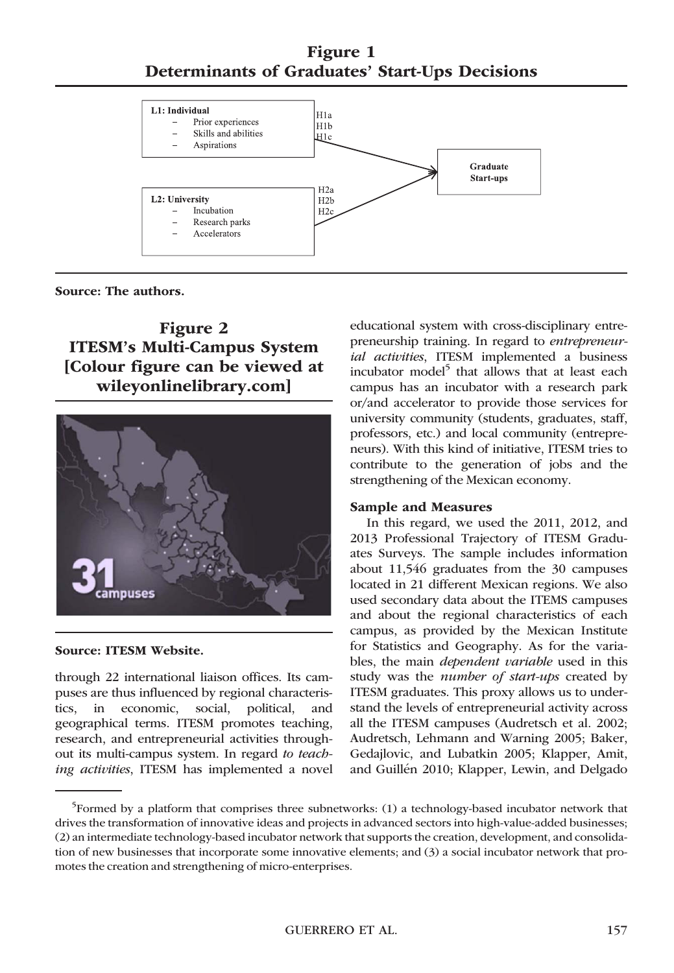Figure 1 Determinants of Graduates' Start-Ups Decisions



Source: The authors.

# Figure 2 ITESM's Multi-Campus System [Colour figure can be viewed at [wileyonlinelibrary.com\]](http://wileyonlinelibrary.com)



#### Source: ITESM Website.

through 22 international liaison offices. Its campuses are thus influenced by regional characteristics, in economic, social, political, and geographical terms. ITESM promotes teaching, research, and entrepreneurial activities throughout its multi-campus system. In regard to teaching activities, ITESM has implemented a novel educational system with cross-disciplinary entrepreneurship training. In regard to entrepreneurial activities, ITESM implemented a business incubator model<sup>5</sup> that allows that at least each campus has an incubator with a research park or/and accelerator to provide those services for university community (students, graduates, staff, professors, etc.) and local community (entrepreneurs). With this kind of initiative, ITESM tries to contribute to the generation of jobs and the strengthening of the Mexican economy.

#### Sample and Measures

In this regard, we used the 2011, 2012, and 2013 Professional Trajectory of ITESM Graduates Surveys. The sample includes information about 11,546 graduates from the 30 campuses located in 21 different Mexican regions. We also used secondary data about the ITEMS campuses and about the regional characteristics of each campus, as provided by the Mexican Institute for Statistics and Geography. As for the variables, the main *dependent variable* used in this study was the *number of start-ups* created by ITESM graduates. This proxy allows us to understand the levels of entrepreneurial activity across all the ITESM campuses (Audretsch et al. 2002; Audretsch, Lehmann and Warning 2005; Baker, Gedajlovic, and Lubatkin 2005; Klapper, Amit, and Guillén 2010; Klapper, Lewin, and Delgado

<sup>&</sup>lt;sup>5</sup>Formed by a platform that comprises three subnetworks: (1) a technology-based incubator network that drives the transformation of innovative ideas and projects in advanced sectors into high-value-added businesses; (2) an intermediate technology-based incubator network that supports the creation, development, and consolidation of new businesses that incorporate some innovative elements; and (3) a social incubator network that promotes the creation and strengthening of micro-enterprises.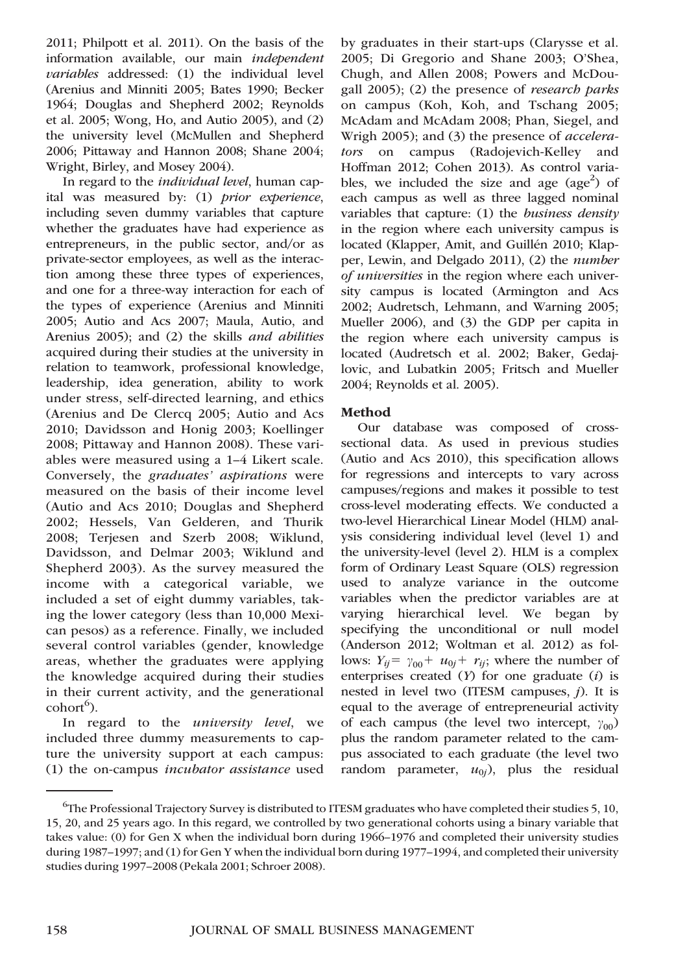2011; Philpott et al. 2011). On the basis of the information available, our main independent variables addressed: (1) the individual level (Arenius and Minniti 2005; Bates 1990; Becker 1964; Douglas and Shepherd 2002; Reynolds et al. 2005; Wong, Ho, and Autio 2005), and (2) the university level (McMullen and Shepherd 2006; Pittaway and Hannon 2008; Shane 2004; Wright, Birley, and Mosey 2004).

In regard to the *individual level*, human capital was measured by: (1) prior experience, including seven dummy variables that capture whether the graduates have had experience as entrepreneurs, in the public sector, and/or as private-sector employees, as well as the interaction among these three types of experiences, and one for a three-way interaction for each of the types of experience (Arenius and Minniti 2005; Autio and Acs 2007; Maula, Autio, and Arenius 2005); and (2) the skills and abilities acquired during their studies at the university in relation to teamwork, professional knowledge, leadership, idea generation, ability to work under stress, self-directed learning, and ethics (Arenius and De Clercq 2005; Autio and Acs 2010; Davidsson and Honig 2003; Koellinger 2008; Pittaway and Hannon 2008). These variables were measured using a 1–4 Likert scale. Conversely, the graduates' aspirations were measured on the basis of their income level (Autio and Acs 2010; Douglas and Shepherd 2002; Hessels, Van Gelderen, and Thurik 2008; Terjesen and Szerb 2008; Wiklund, Davidsson, and Delmar 2003; Wiklund and Shepherd 2003). As the survey measured the income with a categorical variable, we included a set of eight dummy variables, taking the lower category (less than 10,000 Mexican pesos) as a reference. Finally, we included several control variables (gender, knowledge areas, whether the graduates were applying the knowledge acquired during their studies in their current activity, and the generational cohort<sup>6</sup>).

In regard to the *university level*, we included three dummy measurements to capture the university support at each campus: (1) the on-campus incubator assistance used by graduates in their start-ups (Clarysse et al. 2005; Di Gregorio and Shane 2003; O'Shea, Chugh, and Allen 2008; Powers and McDougall 2005); (2) the presence of research parks on campus (Koh, Koh, and Tschang 2005; McAdam and McAdam 2008; Phan, Siegel, and Wrigh 2005); and (3) the presence of accelerators on campus (Radojevich-Kelley and Hoffman 2012; Cohen 2013). As control variables, we included the size and age  $(age^2)$  of each campus as well as three lagged nominal variables that capture:  $(1)$  the *business density* in the region where each university campus is located (Klapper, Amit, and Guillén 2010; Klapper, Lewin, and Delgado 2011), (2) the number of universities in the region where each university campus is located (Armington and Acs 2002; Audretsch, Lehmann, and Warning 2005; Mueller 2006), and (3) the GDP per capita in the region where each university campus is located (Audretsch et al. 2002; Baker, Gedajlovic, and Lubatkin 2005; Fritsch and Mueller 2004; Reynolds et al. 2005).

#### Method

Our database was composed of crosssectional data. As used in previous studies (Autio and Acs 2010), this specification allows for regressions and intercepts to vary across campuses/regions and makes it possible to test cross-level moderating effects. We conducted a two-level Hierarchical Linear Model (HLM) analysis considering individual level (level 1) and the university-level (level 2). HLM is a complex form of Ordinary Least Square (OLS) regression used to analyze variance in the outcome variables when the predictor variables are at varying hierarchical level. We began by specifying the unconditional or null model (Anderson 2012; Woltman et al. 2012) as follows:  $Y_{ij} = \gamma_{00} + u_{0j} + r_{ij}$ ; where the number of enterprises created  $(Y)$  for one graduate  $(i)$  is nested in level two (ITESM campuses,  $j$ ). It is equal to the average of entrepreneurial activity of each campus (the level two intercept,  $\gamma_{00}$ ) plus the random parameter related to the campus associated to each graduate (the level two random parameter,  $u_{0i}$ ), plus the residual

 $^6$ The Professional Trajectory Survey is distributed to ITESM graduates who have completed their studies 5, 10, 15, 20, and 25 years ago. In this regard, we controlled by two generational cohorts using a binary variable that takes value: (0) for Gen X when the individual born during 1966–1976 and completed their university studies during 1987–1997; and (1) for Gen Y when the individual born during 1977–1994, and completed their university studies during 1997–2008 (Pekala 2001; Schroer 2008).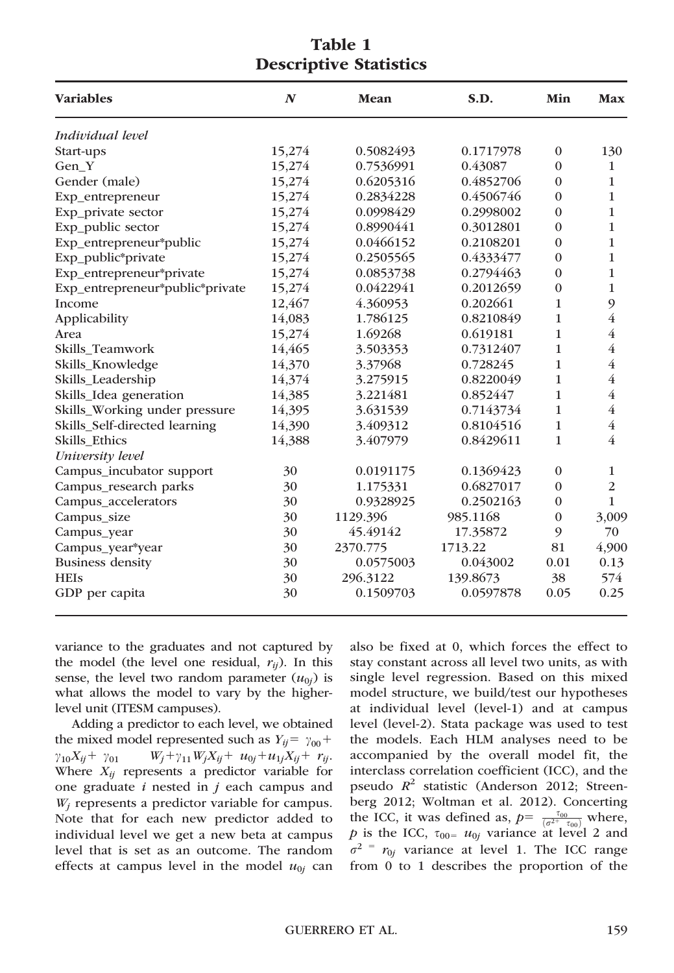| <b>Variables</b>                | $\boldsymbol{N}$ | Mean      | S.D.      | Min            | Max            |
|---------------------------------|------------------|-----------|-----------|----------------|----------------|
| Individual level                |                  |           |           |                |                |
| Start-ups                       | 15,274           | 0.5082493 | 0.1717978 | $\mathbf{0}$   | 130            |
| Gen Y                           | 15,274           | 0.7536991 | 0.43087   | $\Omega$       | $\mathbf{1}$   |
| Gender (male)                   | 15,274           | 0.6205316 | 0.4852706 | $\Omega$       | $\mathbf{1}$   |
| Exp entrepreneur                | 15,274           | 0.2834228 | 0.4506746 | $\theta$       | $\mathbf{1}$   |
| Exp_private sector              | 15,274           | 0.0998429 | 0.2998002 | $\Omega$       | $\mathbf{1}$   |
| Exp_public sector               | 15,274           | 0.8990441 | 0.3012801 | $\overline{0}$ | $\mathbf{1}$   |
| Exp_entrepreneur*public         | 15,274           | 0.0466152 | 0.2108201 | $\Omega$       | 1              |
| Exp_public*private              | 15,274           | 0.2505565 | 0.4333477 | $\Omega$       | 1              |
| Exp_entrepreneur*private        | 15,274           | 0.0853738 | 0.2794463 | $\Omega$       | $\mathbf{1}$   |
| Exp_entrepreneur*public*private | 15,274           | 0.0422941 | 0.2012659 | $\overline{0}$ | $\mathbf{1}$   |
| Income                          | 12,467           | 4.360953  | 0.202661  | 1              | 9              |
| Applicability                   | 14,083           | 1.786125  | 0.8210849 | 1              | $\overline{4}$ |
| Area                            | 15,274           | 1.69268   | 0.619181  | 1              | $\overline{4}$ |
| Skills_Teamwork                 | 14,465           | 3.503353  | 0.7312407 | 1              | $\overline{4}$ |
| Skills_Knowledge                | 14,370           | 3.37968   | 0.728245  | 1              | $\overline{4}$ |
| Skills_Leadership               | 14,374           | 3.275915  | 0.8220049 | 1              | $\overline{4}$ |
| Skills_Idea generation          | 14,385           | 3.221481  | 0.852447  | 1              | 4              |
| Skills_Working under pressure   | 14,395           | 3.631539  | 0.7143734 | 1              | $\overline{4}$ |
| Skills_Self-directed learning   | 14,390           | 3.409312  | 0.8104516 | 1              | $\overline{4}$ |
| <b>Skills</b> Ethics            | 14,388           | 3.407979  | 0.8429611 | 1              | 4              |
| University level                |                  |           |           |                |                |
| Campus_incubator support        | 30               | 0.0191175 | 0.1369423 | $\Omega$       | $\mathbf{1}$   |
| Campus_research parks           | 30               | 1.175331  | 0.6827017 | $\mathbf{0}$   | $\overline{2}$ |
| Campus_accelerators             | 30               | 0.9328925 | 0.2502163 | $\Omega$       | $\mathbf{1}$   |
| Campus_size                     | 30               | 1129.396  | 985.1168  | $\mathbf{0}$   | 3,009          |
| Campus_year                     | 30               | 45.49142  | 17.35872  | 9              | 70             |
| Campus_year*year                | 30               | 2370.775  | 1713.22   | 81             | 4,900          |
| <b>Business density</b>         | 30               | 0.0575003 | 0.043002  | 0.01           | 0.13           |
| <b>HEIs</b>                     | 30               | 296.3122  | 139.8673  | 38             | 574            |
| GDP per capita                  | 30               | 0.1509703 | 0.0597878 | 0.05           | 0.25           |

### Table 1 Descriptive Statistics

variance to the graduates and not captured by the model (the level one residual,  $r_{ii}$ ). In this sense, the level two random parameter  $(u_{0i})$  is what allows the model to vary by the higherlevel unit (ITESM campuses).

Adding a predictor to each level, we obtained the mixed model represented such as  $Y_{ij} = \gamma_{00} +$  $\gamma_{10}X_{ij} + \gamma_{01}$   $W_j + \gamma_{11}W_jX_{ij} + u_{0j} + u_{1j}X_{ij} + r_{ij}.$ Where  $X_{ij}$  represents a predictor variable for one graduate  $i$  nested in  $j$  each campus and  $W_i$  represents a predictor variable for campus. Note that for each new predictor added to individual level we get a new beta at campus level that is set as an outcome. The random effects at campus level in the model  $u_{0j}$  can

also be fixed at 0, which forces the effect to stay constant across all level two units, as with single level regression. Based on this mixed model structure, we build/test our hypotheses at individual level (level-1) and at campus level (level-2). Stata package was used to test the models. Each HLM analyses need to be accompanied by the overall model fit, the interclass correlation coefficient (ICC), and the pseudo  $R^2$  statistic (Anderson 2012; Streenberg 2012; Woltman et al. 2012). Concerting the ICC, it was defined as,  $p = \frac{\tau_{00}}{(\sigma^2 + \tau_{00})}$  where, p is the ICC,  $\tau_{00} = u_{0j}$  variance at level 2 and  $\sigma^2$  =  $r_{0j}$  variance at level 1. The ICC range from 0 to 1 describes the proportion of the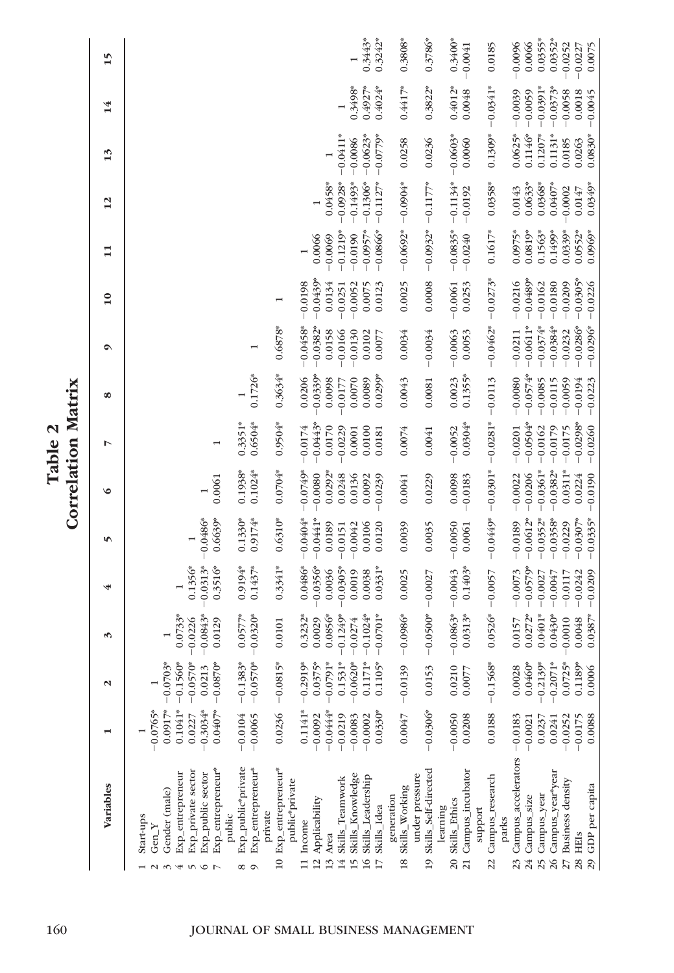|                   |                                          |                        |                          |                        |                        |                         |                     | Correlation Matrix      |                        |                         |                         |                        |                     |                  |                     |                        |
|-------------------|------------------------------------------|------------------------|--------------------------|------------------------|------------------------|-------------------------|---------------------|-------------------------|------------------------|-------------------------|-------------------------|------------------------|---------------------|------------------|---------------------|------------------------|
|                   | Variables                                |                        | $\mathbf{\mathsf{N}}$    | S                      | 4                      | 5                       | ৩                   | r                       | œ                      | ۰                       | $\overline{10}$         | $\mathbf{1}$           | 12                  | 13               | 14                  | 15                     |
|                   | Start-ups<br>Gen $Y$                     | $-0.0765*$             |                          |                        |                        |                         |                     |                         |                        |                         |                         |                        |                     |                  |                     |                        |
| $\omega$ $\omega$ | Gender (male)                            | $0.0917*$              | $-0.0703*$               |                        |                        |                         |                     |                         |                        |                         |                         |                        |                     |                  |                     |                        |
|                   | Exp_entrepreneur                         | $0.1041*$<br>0.0227    | $-0.1560*$<br>$-0.0570*$ | $0.0733*$<br>$-0.0226$ | $0.1356*$              |                         |                     |                         |                        |                         |                         |                        |                     |                  |                     |                        |
| 400               | Exp_private sector<br>Exp_public sector  | $-0.3034*$             | 0.0213                   | $-0.0843*$             | $-0.0313*$             | $-0.0486*$              |                     |                         |                        |                         |                         |                        |                     |                  |                     |                        |
| $\overline{ }$    | Exp_entrepreneur*<br>public              | $0.0407*$              | $-0.0870*$               | 0.0129                 | $0.3516*$              | $0.6639*$               | 0.0061              |                         |                        |                         |                         |                        |                     |                  |                     |                        |
| ∞ ာ               | Exp_public*private                       | $-0.0104$              | $-0.1383*$               | $0.057$ <sup>7*</sup>  | 0.9194*                | $0.1330*$               | $0.1938*$           | $0.3351*$               |                        |                         |                         |                        |                     |                  |                     |                        |
|                   | Exp_entrepreneur <sup>*</sup><br>private | $-0.0065$              | $-0.0570*$               | $-0.0320*$             | $0.1437*$              | $0.9174*$               | $0.1024*$           | $0.6504*$               | $0.1726*$              |                         |                         |                        |                     |                  |                     |                        |
| $\overline{10}$   | Exp_entrepreneur*                        | 0.0236                 | $-0.0815*$               | 0.0101                 | $0.3341*$              | $0.6310*$               | $0.0704*$           | $0.9504*$               | $0.3634*$              | $0.6878$ *              |                         |                        |                     |                  |                     |                        |
|                   | public <sup>*</sup> private              |                        |                          |                        |                        |                         |                     |                         |                        |                         |                         |                        |                     |                  |                     |                        |
|                   | 11 Income                                | $0.1141*$              | $-0.2919*$               | $0.3232*$              | $0.0486*$              | $-0.0404*$              | $-0.0749$ *         | $-0.0174$               | 0.0206                 | $-0.0458*$              | $-0.0198$               |                        |                     |                  |                     |                        |
|                   | 12 Applicability                         | $-0.0092$              | $0.0375*$                | 0.0029                 | $-0.0356*$             | $-0.0441*$              | $-0.0080$           | $-0.0443*$              | $0.0339*$              | $-0.0382*$              | $-0.0439*$              | 0.0066                 |                     |                  |                     |                        |
| 13 Area           |                                          | $-0.0444*$             | $-0.0791*$               | $0.0856*$              | 0.0036                 | 0.0189                  | $0.0292*$           | 0.0170                  | 0.0098                 | 0.0158                  | 0.0134                  | $-0.0069$              | $0.0458*$           |                  |                     |                        |
| 14                | Skills_Teamwork                          | $-0.0219$              | $0.1531*$                | $-0.1249$ *            | $-0.0305*$             | $-0.0151$               | 0.0248              | 0.0229                  | 0.0177                 | $-0.0166$               | $-0.0251$               | $-0.1219*$             | $-0.0928$ *         | $-0.0411*$       |                     |                        |
| 15                | Skills_Knowledge                         | $-0.0083$              | $-0.0620*$               | $-0.0274$              | 0.0019                 | $-0.0042$               | 0.0136              | 0.0001                  | 0.0070                 | $-0.0130$               | $-0.0052$               | $-0.0190$              | $-0.1493*$          | $-0.0086$        | $0.3498*$           |                        |
| 16                | Skills_Leadership                        | $-0.0002$              | $0.1171*$                | $-0.1024*$             | 0.0038                 | 0.0106                  | 0.0092              | 0.0100                  | 0.0089                 | 0.0102                  | 0.0075                  | $-0.0957$ *            | $-0.1306*$          | $-0.0623*$       | $0.4927*$           | $0.3443*$              |
|                   | Skills_Idea                              | $0.0330*$              | $0.1105*$                | $-0.0701*$             | $0.0331*$              | 0.0120                  | 0.0239              | 0.0181                  | $0.0299*$              | 0.0077                  | 0.0123                  | $-0.0866*$             | $-0.1127*$          | $-0.0779*$       | $0.4024*$           | $0.3242*$              |
|                   | generation                               |                        |                          |                        |                        |                         |                     |                         |                        |                         |                         |                        |                     |                  |                     |                        |
| 18                | under pressure<br>Skills_Working         | 0.0047                 | $-0.0139$                | $-0.0986*$             | 0.0025                 | 0.0039                  | 0.0041              | 0.0074                  | 0.0043                 | 0.0034                  | 0.0025                  | $-0.0692*$             | $-0.0904*$          | 0.0258           | $0.4417*$           | $0.3808*$              |
| $\overline{19}$   | Skills_Self-directed                     | $-0.0306*$             | 0.0153                   | $-0.0500*$             | $-0.0027$              | 0.0035                  | 0.0229              | 0.0041                  | 0.0081                 | $-0.0034$               | 0.0008                  | $-0.0932*$             | $-0.1177*$          | 0.0236           | $0.3822*$           | $0.3786*$              |
|                   | 20 Skills_Ethics<br>learning             | $-0.0050$              | 0.0210                   | $-0.0863*$             | $-0.0043$              | $-0.0050$               | 0.0098              | $-0.0052$               | 0.0023                 | $-0.0063$               | $-0.0061$               | $-0.0835*$             | $-0.1134*$          | $-0.0603*$       | $0.4012*$           | $0.3400*$              |
| $\overline{21}$   | Campus_incubator                         | 0.0208                 | 0.0077                   | $0.0313*$              | $0.1403*$              | 0.0061                  | $-0.0183$           | $0.0304*$               | $0.1355*$              | 0.0053                  | 0.0253                  | $-0.0240$              | $-0.0192$           | 0.0060           | 0.0048              | $-0.0041$              |
|                   | support                                  |                        |                          |                        |                        |                         |                     |                         |                        |                         |                         |                        |                     |                  |                     |                        |
| 22                | Campus_research<br>parks                 | 0.0188                 | $-0.1568*$               | $0.0526*$              | $-0.0057$              | $-0.0449*$              | $-0.0301*$          | $-0.0281*$              | $-0.0113$              | $-0.0462*$              | $-0.0273*$              | $0.1617*$              | $0.0358$ *          | $0.1309*$        | $-0.0341*$          | 0.0185                 |
| 23                | Campus_accelerators -0.0183              |                        | 0.0028                   | 0.0157                 | $-0.0073$              | $-0.0189$               | $-0.0022$           | $-0.0201$               | $-0.0080$              | $-0.0211$               | $-0.0216$               | $0.0975*$              | 0.0143              | $0.0625*$        | $-0.0039$           | $-0.0096$              |
| 24                | Campus_size                              | $-0.0021$              | $0.0460*$                | $0.0272*$              | $-0.0579$ *            | $-0.0612*$              | $-0.0206$           | $-0.0504*$              | $-0.0574*$             | $-0.0611*$              | $-0.0489*$              | $0.0819*$              | $0.0633*$           | $0.1146*$        | $-0.0059$           | 0.0066                 |
| 25                | Campus_year                              | 0.0237                 | $-0.2139*$               | $0.0401*$              | $-0.0027$              | $-0.0352*$              | $-0.0361*$          | $-0.0162$               | $-0.0085$              | $-0.0374*$              | $-0.0162$               | $0.1563*$              | $0.0368$ *          | $0.1207*$        | $-0.0391*$          | $0.0355*$              |
|                   | 26 Campus_year*year                      | 0.0241                 | $-0.2071*$               | $0.0430*$              | $-0.0047$              | $-0.0358$ *             | $-0.0382$ *         | $-0.0179$               | $-0.0115$              | $-0.0384*$              | $-0.0180$               | $0.1499*$              | $0.0407*$           | $0.1131*$        | $-0.0373*$          | $0.0352*$              |
|                   | 27 Business density<br>28 HEIS           | $-0.0252$<br>$-0.0175$ | $0.0725*$<br>$0.1189*$   | $-0.0010$<br>0.0048    | $-0.0242$<br>$-0.0117$ | $-0.0307*$<br>$-0.0229$ | $0.0311*$<br>0.0224 | $-0.0298*$<br>$-0.0175$ | $-0.0059$<br>$-0.0194$ | $-0.0286*$<br>$-0.0232$ | $-0.0305*$<br>$-0.0209$ | $0.0339*$<br>$0.0552*$ | $-0.0002$<br>0.0147 | 0.0185<br>0.0263 | $-0.0058$<br>0.0018 | $-0.0252$<br>$-0.0227$ |
|                   | 29 GDP per capita                        | 0.0088                 | 0.0006                   | $0.0387*$              | $-0.0209$              | $-0.0335*$              | $-0.0190$           | $-0.0260$               | $-0.0223$              | $-0.0296*$              | $-0.0226$               | $0.0969*$              | $0.0349*$           | $0.0830*$        | $-0.0045$           | 0.0075                 |

Table 2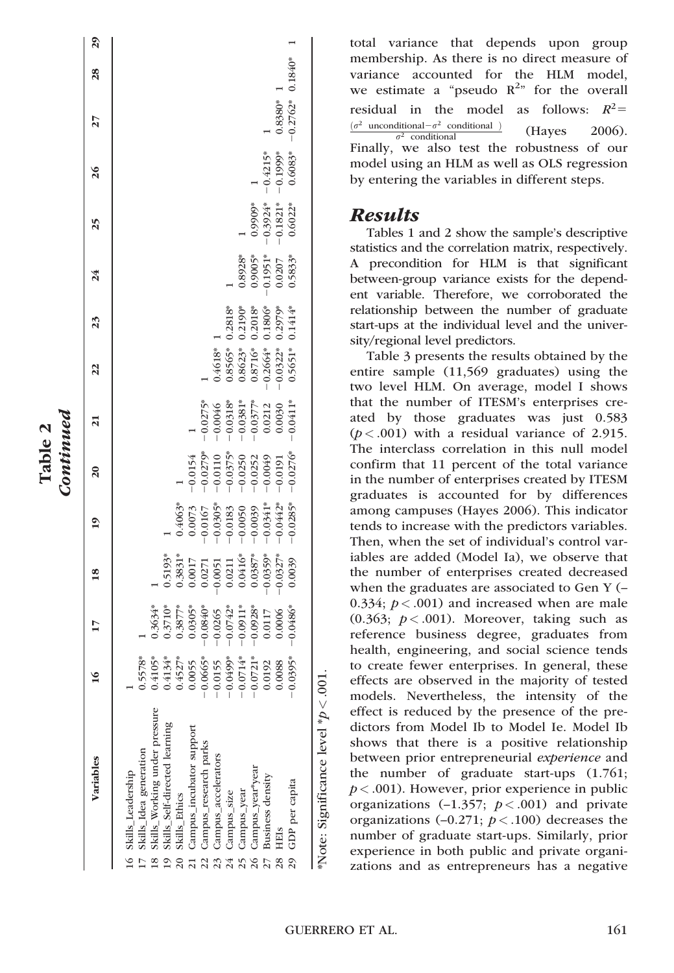| $0.1840*$<br>$\frac{8}{2}$<br>$-0.2762*$<br>$0.8380*$<br>27<br>$0.6083*$<br>$-0.1999*$<br>$-0.4215*$<br>$\frac{6}{2}$<br>$-0.3924*$<br>$-0.1821$ *<br>0.6022*<br>0.9909*<br>25<br>$0.8928$ *<br>0.9005*<br>-0.1951*<br>$0.0207$<br>$0.5833*$<br>24<br>$0.2818$ <sup>*</sup><br>$\begin{array}{c} 0.2190^{\text{st}} \\ 0.2018^{\text{st}} \\ 0.1806^{\text{st}} \\ 0.2979^{\text{st}} \\ 0.1414^{\text{st}} \end{array}$<br>23<br>$0.4618$ *<br>0.8565*<br>$-0.0322$ <sup>*</sup><br>0.5651 <sup>*</sup><br>$\frac{0.8623^*}{0.8716^*}$<br>$\overline{2}$<br>$-0.0318$ <sup>*</sup><br>$-0.0351$ <sup>*</sup><br>$-0.0377$ <sup>*</sup><br>$0.0212$<br>0.0030<br>$-0.0275*$<br>$-0.0411*$<br>$-0.0046$<br>$\overline{\mathbf{a}}$<br>$\begin{array}{r} -0.0154 \\ -0.0279^* \\ -0.0110 \\ -0.0110 \\ -0.0375^* \\ -0.0250 \\ -0.0252 \\ -0.049 \\ -0.049 \end{array}$<br>$-0.0276*$ |
|-------------------------------------------------------------------------------------------------------------------------------------------------------------------------------------------------------------------------------------------------------------------------------------------------------------------------------------------------------------------------------------------------------------------------------------------------------------------------------------------------------------------------------------------------------------------------------------------------------------------------------------------------------------------------------------------------------------------------------------------------------------------------------------------------------------------------------------------------------------------------------------|
|                                                                                                                                                                                                                                                                                                                                                                                                                                                                                                                                                                                                                                                                                                                                                                                                                                                                                     |
|                                                                                                                                                                                                                                                                                                                                                                                                                                                                                                                                                                                                                                                                                                                                                                                                                                                                                     |
|                                                                                                                                                                                                                                                                                                                                                                                                                                                                                                                                                                                                                                                                                                                                                                                                                                                                                     |
|                                                                                                                                                                                                                                                                                                                                                                                                                                                                                                                                                                                                                                                                                                                                                                                                                                                                                     |
|                                                                                                                                                                                                                                                                                                                                                                                                                                                                                                                                                                                                                                                                                                                                                                                                                                                                                     |
|                                                                                                                                                                                                                                                                                                                                                                                                                                                                                                                                                                                                                                                                                                                                                                                                                                                                                     |
|                                                                                                                                                                                                                                                                                                                                                                                                                                                                                                                                                                                                                                                                                                                                                                                                                                                                                     |
|                                                                                                                                                                                                                                                                                                                                                                                                                                                                                                                                                                                                                                                                                                                                                                                                                                                                                     |
|                                                                                                                                                                                                                                                                                                                                                                                                                                                                                                                                                                                                                                                                                                                                                                                                                                                                                     |
|                                                                                                                                                                                                                                                                                                                                                                                                                                                                                                                                                                                                                                                                                                                                                                                                                                                                                     |
|                                                                                                                                                                                                                                                                                                                                                                                                                                                                                                                                                                                                                                                                                                                                                                                                                                                                                     |
|                                                                                                                                                                                                                                                                                                                                                                                                                                                                                                                                                                                                                                                                                                                                                                                                                                                                                     |
|                                                                                                                                                                                                                                                                                                                                                                                                                                                                                                                                                                                                                                                                                                                                                                                                                                                                                     |
|                                                                                                                                                                                                                                                                                                                                                                                                                                                                                                                                                                                                                                                                                                                                                                                                                                                                                     |
|                                                                                                                                                                                                                                                                                                                                                                                                                                                                                                                                                                                                                                                                                                                                                                                                                                                                                     |

Table 2

total variance that depends upon group membership. As there is no direct measure of variance accounted for the HLM model, we estimate a "pseudo  $R^{2n}$  for the overall residual in the model as follows:  $R^2$ =  $(\sigma^2$  unconditional  $-\sigma^2$  conditional )  $\frac{dational - \sigma^2 \text{ conditional}}{\sigma^2 \text{ conditional}}$  (Hayes 2006). Finally, we also test the robustness of our model using an HLM as well as OLS regression by entering the variables in different steps.

### Results

Tables 1 and 2 show the sample's descriptive statistics and the correlation matrix, respectively. A precondition for HLM is that significant between-group variance exists for the dependent variable. Therefore, we corroborated the relationship between the number of graduate start-ups at the individual level and the university/regional level predictors.

Table 3 presents the results obtained by the entire sample (11,569 graduates) using the two level HLM. On average, model I shows that the number of ITESM's enterprises created by those graduates was just 0.583  $(p < .001)$  with a residual variance of 2.915. The interclass correlation in this null model confirm that 11 percent of the total variance in the number of enterprises created by ITESM graduates is accounted for by differences among campuses (Hayes 2006). This indicator tends to increase with the predictors variables. Then, when the set of individual's control variables are added (Model Ia), we observe that the number of enterprises created decreased when the graduates are associated to Gen Y (– 0.334;  $p < .001$ ) and increased when are male (0.363;  $p < .001$ ). Moreover, taking such as reference business degree, graduates from health, engineering, and social science tends to create fewer enterprises. In general, these effects are observed in the majority of tested models. Nevertheless, the intensity of the effect is reduced by the presence of the predictors from Model Ib to Model Ie. Model Ib shows that there is a positive relationship between prior entrepreneurial *experience* and the number of graduate start-ups (1.761;  $p < .001$ ). However, prior experience in public organizations  $(-1.357; p < .001)$  and private organizations  $(-0.271; p < .100)$  decreases the number of graduate start-ups. Similarly, prior experience in both public and private organizations and as entrepreneurs has a negative

\*Note: Significance level \*p

 $< 0.001$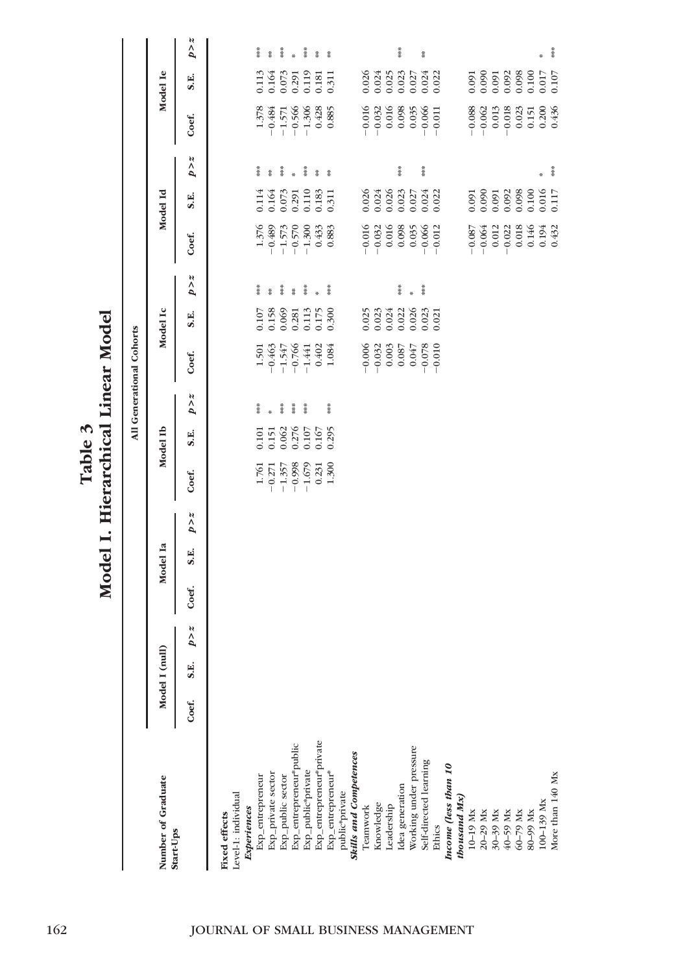|                                 |       |                |              |       |          |              |                                                         |                |       | All Generational Cohorts                                                                                 |                                                                                                     |              |                                                                                                  |                               |                     |                                                                                 |                                                                                   |               |
|---------------------------------|-------|----------------|--------------|-------|----------|--------------|---------------------------------------------------------|----------------|-------|----------------------------------------------------------------------------------------------------------|-----------------------------------------------------------------------------------------------------|--------------|--------------------------------------------------------------------------------------------------|-------------------------------|---------------------|---------------------------------------------------------------------------------|-----------------------------------------------------------------------------------|---------------|
| Number of Graduate<br>Start-Ups |       | Model I (null) |              |       | Model Ia |              |                                                         | Model Ib       |       |                                                                                                          | Model Ic                                                                                            |              |                                                                                                  | Model Id                      |                     |                                                                                 | Model Ie                                                                          |               |
|                                 | Coef. | S.E.           | $p \times z$ | Coef. | S.E.     | $p \times z$ | Coef.                                                   | S.E.           | p > z | Coef.                                                                                                    | S.E.                                                                                                | $p \times z$ | Coef.                                                                                            | S.E.                          | $p \times z$        | Coef.                                                                           | S.E.                                                                              | p > z         |
| <b>Fixed effects</b>            |       |                |              |       |          |              |                                                         |                |       |                                                                                                          |                                                                                                     |              |                                                                                                  |                               |                     |                                                                                 |                                                                                   |               |
| Level-1: individual             |       |                |              |       |          |              |                                                         |                |       |                                                                                                          |                                                                                                     |              |                                                                                                  |                               |                     |                                                                                 |                                                                                   |               |
| Experiences                     |       |                |              |       |          |              |                                                         |                |       |                                                                                                          |                                                                                                     |              |                                                                                                  |                               |                     |                                                                                 |                                                                                   |               |
| Exp_entrepreneur                |       |                |              |       |          |              | 1.761                                                   | 0.101          | 普集社   | $\begin{array}{r} 1.501 \\ -0.463 \\ -1.547 \\ -0.766 \\ -0.766 \\ -1.441 \\ 0.402 \\ 1.084 \end{array}$ | $\begin{array}{l} 0.107 \\ 0.158 \\ 0.069 \\ 0.281 \\ 0.113 \\ 0.113 \\ 0.050 \\ \end{array}$       | 普鲁<br>Ř      | $1.376$<br>$-0.489$<br>$-1.573$<br>$-1.300$<br>$-1.300$                                          | $0.114$<br>$0.164$<br>$0.073$ | 黄米<br>$\frac{4}{3}$ | $\begin{array}{r} 1.378 \\ -0.484 \\ -1.571 \\ -0.566 \\ -1.306 \\ \end{array}$ | 0.113                                                                             | 普集社<br>Ť.     |
| Exp_private sector              |       |                |              |       |          |              | $-0.271$<br>$-1.357$<br>$-0.998$                        | 0.062<br>0.151 | ****  |                                                                                                          |                                                                                                     | 普通           |                                                                                                  |                               | 葦葉                  |                                                                                 | 0.164                                                                             | 茶茶            |
| Exp_public sector               |       |                |              |       |          |              |                                                         |                | 著来    |                                                                                                          |                                                                                                     | ğ            |                                                                                                  |                               |                     |                                                                                 | 0.073                                                                             |               |
| Exp_entrepreneur*public         |       |                |              |       |          |              |                                                         | 0.276          |       |                                                                                                          |                                                                                                     |              |                                                                                                  | 0.291<br>0.110                |                     |                                                                                 | 0.291                                                                             |               |
| Exp_public*private              |       |                |              |       |          |              |                                                         | 0.107          | ****  |                                                                                                          |                                                                                                     | 普集           |                                                                                                  |                               | 葦葉                  |                                                                                 | 0.119                                                                             | 茶茶            |
| Exp_entrepreneur*private        |       |                |              |       |          |              | $\begin{array}{c} -1.679 \\ 0.231 \\ 1.300 \end{array}$ | 0.167          |       |                                                                                                          |                                                                                                     |              | $0.433$<br>$0.883$                                                                               | $\frac{0.183}{0.311}$         | Ř                   | $0.428$<br>0.885                                                                | $0.181$<br>$0.311$                                                                | Ĭ             |
| Exp_entrepreneur*               |       |                |              |       |          |              |                                                         | 0.295          | ***   |                                                                                                          |                                                                                                     | 茶菜           |                                                                                                  |                               | $\frac{u}{2}$       |                                                                                 |                                                                                   | $\frac{u}{2}$ |
| public*private                  |       |                |              |       |          |              |                                                         |                |       |                                                                                                          |                                                                                                     |              |                                                                                                  |                               |                     |                                                                                 |                                                                                   |               |
| <b>Skills and Competences</b>   |       |                |              |       |          |              |                                                         |                |       |                                                                                                          |                                                                                                     |              |                                                                                                  |                               |                     |                                                                                 |                                                                                   |               |
| Teamwork                        |       |                |              |       |          |              |                                                         |                |       |                                                                                                          |                                                                                                     |              |                                                                                                  | 0.026                         |                     |                                                                                 | 0.026                                                                             |               |
| Knowledge                       |       |                |              |       |          |              |                                                         |                |       | $-0.006$<br>$-0.032$<br>0.003                                                                            |                                                                                                     |              |                                                                                                  | 0.024                         |                     | $-0.016$<br>$-0.032$<br>$0.016$                                                 | 0.024                                                                             |               |
| Leadership                      |       |                |              |       |          |              |                                                         |                |       |                                                                                                          |                                                                                                     |              |                                                                                                  | 0.026<br>0.023                |                     |                                                                                 | 0.025                                                                             |               |
| Idea generation                 |       |                |              |       |          |              |                                                         |                |       | 0.087                                                                                                    |                                                                                                     | 清泉           |                                                                                                  |                               | 普通                  | 0.098                                                                           | 0.023                                                                             | 半半半           |
| Working under pressure          |       |                |              |       |          |              |                                                         |                |       | 0.047                                                                                                    |                                                                                                     | ×,           |                                                                                                  | 0.027                         |                     | 0.035                                                                           | 0.027                                                                             |               |
| Self-directed learning          |       |                |              |       |          |              |                                                         |                |       | $-0.078$<br>-0.010                                                                                       | $\begin{array}{l} 0.025 \\ 0.023 \\ 0.024 \\ 0.020 \\ 0.026 \\ 0.033 \\ 0.033 \\ 0.033 \end{array}$ | 清凉           | $-0.016$<br>$-0.032$<br>0.016<br>0.098<br>0.035<br>0.006<br>0.012                                | 0.024                         | 葦茶                  | $-0.066$                                                                        | $0.024$<br>$0.022$                                                                | \$            |
| Ethics                          |       |                |              |       |          |              |                                                         |                |       |                                                                                                          |                                                                                                     |              |                                                                                                  |                               |                     | $-0.011$                                                                        |                                                                                   |               |
| Income (less than 10            |       |                |              |       |          |              |                                                         |                |       |                                                                                                          |                                                                                                     |              |                                                                                                  |                               |                     |                                                                                 |                                                                                   |               |
| thousand Mx)                    |       |                |              |       |          |              |                                                         |                |       |                                                                                                          |                                                                                                     |              |                                                                                                  |                               |                     |                                                                                 |                                                                                   |               |
| 10-19 Mx                        |       |                |              |       |          |              |                                                         |                |       |                                                                                                          |                                                                                                     |              |                                                                                                  | 0.091                         |                     |                                                                                 |                                                                                   |               |
| 20-29 Mx                        |       |                |              |       |          |              |                                                         |                |       |                                                                                                          |                                                                                                     |              | $\begin{array}{r} -0.087 \\ -0.064 \\ 0.012 \\ -0.022 \\ 0.018 \\ 0.146 \\ 0.194 \\ \end{array}$ | 0.090                         |                     | $-0.088$<br>$-0.062$                                                            | $\begin{array}{c} 0.091 \\ 0.090 \\ 0.091 \\ 0.091 \\ 0.092 \\ 0.098 \end{array}$ |               |
| 30-39 Mx                        |       |                |              |       |          |              |                                                         |                |       |                                                                                                          |                                                                                                     |              |                                                                                                  | 0.091                         |                     | 0.013                                                                           |                                                                                   |               |
| 40-59 Mx                        |       |                |              |       |          |              |                                                         |                |       |                                                                                                          |                                                                                                     |              |                                                                                                  | 0.092                         |                     | $-0.018$                                                                        |                                                                                   |               |
| 60-79 Mx                        |       |                |              |       |          |              |                                                         |                |       |                                                                                                          |                                                                                                     |              |                                                                                                  | 0.098                         |                     | 0.023                                                                           |                                                                                   |               |
| 80-99 Mx                        |       |                |              |       |          |              |                                                         |                |       |                                                                                                          |                                                                                                     |              |                                                                                                  | 0.100                         |                     | 0.151                                                                           | 0.100                                                                             |               |
| 100-139 Mx                      |       |                |              |       |          |              |                                                         |                |       |                                                                                                          |                                                                                                     |              |                                                                                                  | 0.016<br>0.117                | ÷                   | 0.200<br>0.436                                                                  | 0.107<br>701.0                                                                    |               |
| More than 140 Mx                |       |                |              |       |          |              |                                                         |                |       |                                                                                                          |                                                                                                     |              |                                                                                                  |                               | 茶茶                  |                                                                                 |                                                                                   | $\frac{4}{3}$ |

Table 3<br>Model I. Hierarchical Linear Model Model I. Hierarchical Linear Model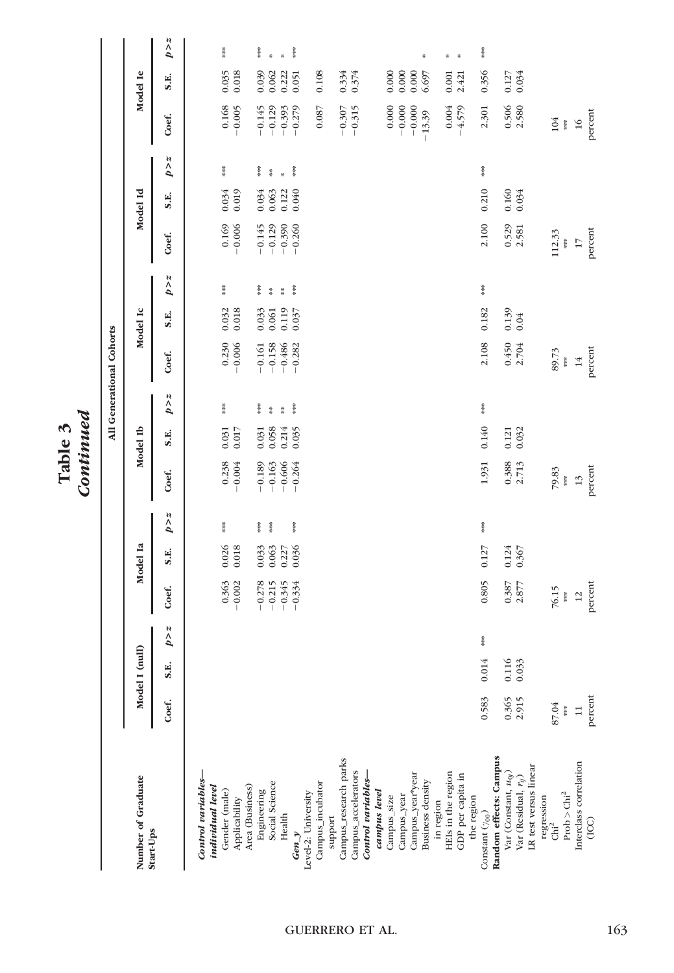Table 3<br>Continued Continued

 $\overline{a}$ 

|                                 |              |                |                |                   |                |                |                   |                |                 | All Generational Cohorts |                   |                                |                      |                |                  |                   |                |               |
|---------------------------------|--------------|----------------|----------------|-------------------|----------------|----------------|-------------------|----------------|-----------------|--------------------------|-------------------|--------------------------------|----------------------|----------------|------------------|-------------------|----------------|---------------|
| Number of Graduate<br>Start-Ups |              | Model I (null) |                |                   | Model Ia       |                |                   | Model Ib       |                 |                          | Model Ic          |                                |                      | Model Id       |                  |                   | Model Ie       |               |
|                                 | Coef.        | S.E.           | $p \times z$   | Coef.             | S.E.           | p > z          | Coef.             | S.E.           | $p \times z$    | Coef.                    | S.E.              | N<br>$\tilde{b}$               | Coef.                | S.E.           | N<br>$\tilde{b}$ | Coef.             | S.E.           | p > z         |
| Control variables-              |              |                |                |                   |                |                |                   |                |                 |                          |                   |                                |                      |                |                  |                   |                |               |
| individual level                |              |                |                |                   |                | $\frac{3}{8}$  |                   |                | 茶菜              |                          |                   | $\frac{3}{8}$                  |                      |                | $\frac{3}{8}$    |                   |                | 普集            |
| Gender (male)<br>Applicability  |              |                |                | 0.363<br>$-0.002$ | 0.026<br>0.018 |                | 0.238<br>$-0.004$ | 0.017<br>0.031 |                 | $-0.230$<br>-0.006       | 0.032<br>0.018    |                                | $-0.169$<br>-0.006   | 0.019<br>0.034 |                  | 0.168<br>$-0.005$ | 0.035<br>0.018 |               |
| Area (Business)                 |              |                |                |                   |                |                |                   |                |                 |                          |                   |                                |                      |                |                  |                   |                |               |
| Engineering                     |              |                |                | $-0.278$          | 0.033          | 计半步            | $-0.189$          | 0.031          | 茶茶              | $-0.161$                 | 0.033             | 草茶                             |                      | 0.034          | 草茶               | $-0.145$          | 0.039          | 普通            |
| Social Science                  |              |                |                | $-0.215$          | 0.063          | 普通             | $-0.163$          | 0.058          | $\frac{36}{16}$ | $-0.158$                 | 0.061             | $\frac{36}{16}$                | $-0.145$<br>$-0.129$ | 0.063          | $\frac{36}{16}$  | $-0.129$          | 0.062          | ×             |
| Health                          |              |                |                | $-0.345$          | 0.227          |                | $-0.606$          | 0.214          | $\frac{36}{36}$ | $-0.486$                 | 0.119             | $\frac{3}{4}$<br>$\frac{4}{3}$ | $-0.390$             | 0.122          | ÷                | $-0.393$          | 0.222          | $\frac{1}{2}$ |
| Gen $y$                         |              |                |                | $-0.334$          | 0.036          | $\frac{36}{8}$ | $-0.264$          | 0.035          | 清凉              | $-0.282$                 | 0.037             |                                | $-0.260$             | 0.040          | 普兰               | $-0.279$          | 0.051          | 清洁            |
| Level-2: University             |              |                |                |                   |                |                |                   |                |                 |                          |                   |                                |                      |                |                  |                   |                |               |
| Campus_incubator                |              |                |                |                   |                |                |                   |                |                 |                          |                   |                                |                      |                |                  | 0.087             | 0.108          |               |
| support                         |              |                |                |                   |                |                |                   |                |                 |                          |                   |                                |                      |                |                  |                   |                |               |
| Campus_research parks           |              |                |                |                   |                |                |                   |                |                 |                          |                   |                                |                      |                |                  | $-0.307$          | 0.334          |               |
| Campus_accelerators             |              |                |                |                   |                |                |                   |                |                 |                          |                   |                                |                      |                |                  | $-0.315$          | 0.374          |               |
| Control variables-              |              |                |                |                   |                |                |                   |                |                 |                          |                   |                                |                      |                |                  |                   |                |               |
| campus level                    |              |                |                |                   |                |                |                   |                |                 |                          |                   |                                |                      |                |                  |                   |                |               |
| Campus_size                     |              |                |                |                   |                |                |                   |                |                 |                          |                   |                                |                      |                |                  | 0.000             | 0.000          |               |
| Campus_year                     |              |                |                |                   |                |                |                   |                |                 |                          |                   |                                |                      |                |                  | $-0.000$          | 0.000          |               |
| Campus_year*year                |              |                |                |                   |                |                |                   |                |                 |                          |                   |                                |                      |                |                  | $-0.000$          | 0.000          | 꾟             |
| Business density                |              |                |                |                   |                |                |                   |                |                 |                          |                   |                                |                      |                |                  | $-13.39$          | 6.697          |               |
| HEIs in the region<br>in region |              |                |                |                   |                |                |                   |                |                 |                          |                   |                                |                      |                |                  | 0.004             | 0.001          | 뽂             |
| GDP per capita in               |              |                |                |                   |                |                |                   |                |                 |                          |                   |                                |                      |                |                  | $-4.579$          | 2.421          | ÷,            |
| the region                      |              |                |                |                   |                |                |                   |                |                 |                          |                   |                                |                      |                |                  |                   |                |               |
| Constant $(\gamma_{00})$        | 0.583        | 0.014          | $\frac{36}{8}$ | 0.805             | 0.127          | 普通             | 1.931             | 0.140          | 清泉              | 2.108                    | 0.182             | 普兰                             | 2.100                | 0.210          | 赤地               | 2.301             | 0.356          | 海绵            |
| Random effects: Campus          |              |                |                |                   |                |                |                   |                |                 |                          |                   |                                |                      |                |                  |                   |                |               |
| Var (Constant, $u_{0j}$ )       | 0.365        | 0.116          |                | 0.387<br>2.877    | 0.124          |                | 0.388<br>2.713    | 0.121          |                 | 0.450<br>2.704           | $0.139$<br>$0.04$ |                                | 0.529<br>2.581       | 0.160          |                  | 0.506             | 0.127          |               |
| Var (Residual, $r_{ii}$ )       | 2.915        | 0.033          |                |                   |                |                |                   | 0.032          |                 |                          |                   |                                |                      | 0.034          |                  | 2.580             | 0.034          |               |
| LR test versus linear           |              |                |                |                   |                |                |                   |                |                 |                          |                   |                                |                      |                |                  |                   |                |               |
| regression<br>Chi <sup>2</sup>  | 87.04        |                |                | 76.15             |                |                | 79.83             |                |                 | 89.73                    |                   |                                | 112.33               |                |                  | 104               |                |               |
| $\rm Prob > Chi^2$              | 神話           |                |                | $\frac{4}{15}$    |                |                | $\frac{*}{*}$     |                |                 | 普普                       |                   |                                | $\frac{1}{2}$        |                |                  | $* * *$           |                |               |
| Interclass correlation          | $\mathbf{1}$ |                |                | $\overline{12}$   |                |                | 13                |                |                 | 14                       |                   |                                | $\overline{17}$      |                |                  | 16                |                |               |
| (1CC)                           | percent      |                |                | percent           |                |                | percent           |                |                 | percent                  |                   |                                | percent              |                |                  | percent           |                |               |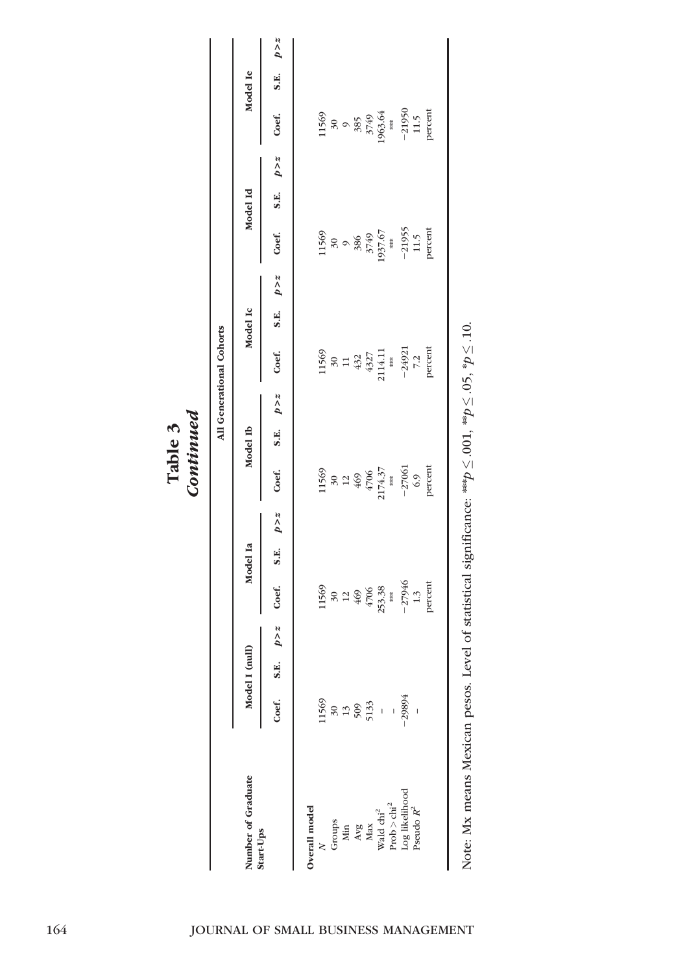Table 3<br>Continued Continued

|                                                                                        |                                 |                |       |                                                |          |              |                                                                                       |          |       | All Generational Cohorts                                                        |              |                                            |          |              |                                                                                                       |          |         |
|----------------------------------------------------------------------------------------|---------------------------------|----------------|-------|------------------------------------------------|----------|--------------|---------------------------------------------------------------------------------------|----------|-------|---------------------------------------------------------------------------------|--------------|--------------------------------------------|----------|--------------|-------------------------------------------------------------------------------------------------------|----------|---------|
| Number of Graduate<br>Start-Ups                                                        |                                 | Model I (null) |       |                                                | Model Ia |              |                                                                                       | Model Ib |       |                                                                                 | Model Ic     |                                            | Model Id |              |                                                                                                       | Model Ie |         |
|                                                                                        | Coef. S.E.                      |                | p > z | Coef.                                          | S.E.     | $p \times z$ | Coef.                                                                                 | S.E.     | p > z | Coef.                                                                           | S.E. $p > z$ | Coef.                                      |          | S.E. $p > z$ | Coef.                                                                                                 | S.E.     | $p > z$ |
| Overall model                                                                          |                                 |                |       |                                                |          |              |                                                                                       |          |       |                                                                                 |              |                                            |          |              |                                                                                                       |          |         |
|                                                                                        |                                 |                |       |                                                |          |              |                                                                                       |          |       |                                                                                 |              |                                            |          |              |                                                                                                       |          |         |
| $N$ Groups<br>Groups<br>$M$ in<br>$M$ iax<br>$M$ ax<br>$M$ ax<br>Wald chi <sup>2</sup> | $\frac{1569}{30}$<br>30 30 32 - |                |       | 11569<br>30<br>4469<br>4706<br>4706<br>2533.38 |          |              |                                                                                       |          |       |                                                                                 |              | 11569<br>30<br>30<br>3749<br>3749<br>37.67 |          |              |                                                                                                       |          |         |
|                                                                                        |                                 |                |       |                                                |          |              |                                                                                       |          |       |                                                                                 |              |                                            |          |              |                                                                                                       |          |         |
|                                                                                        |                                 |                |       |                                                |          |              |                                                                                       |          |       |                                                                                 |              |                                            |          |              |                                                                                                       |          |         |
|                                                                                        |                                 |                |       |                                                |          |              |                                                                                       |          |       |                                                                                 |              |                                            |          |              |                                                                                                       |          |         |
|                                                                                        |                                 |                |       |                                                |          |              |                                                                                       |          |       |                                                                                 |              |                                            |          |              |                                                                                                       |          |         |
| $\mathrm{Prob} > \mathrm{chi}^2$                                                       | $\overline{\phantom{a}}$        |                |       |                                                |          |              |                                                                                       |          |       |                                                                                 |              |                                            |          |              |                                                                                                       |          |         |
| Log likelihood                                                                         | 29894                           |                |       | $-27946$<br>1.3<br>percent                     |          |              | 11569<br>30<br>30<br>469<br>4706<br>47061<br>$+37$<br>$+37$<br>$-27061$<br>6.9<br>6.9 |          |       | 11569<br>30<br>30<br>432<br>4327<br>4327<br>4327<br>$+32$<br>$-24921$<br>$-7.2$ |              | $-21955$<br>11.5<br>percent                |          |              | 11569<br>30<br>30<br>30<br>3749<br>3749<br>$+3749$<br>$+3749$<br>$+37950$<br>$-21950$<br>11.5<br>11.5 |          |         |
| $\rm Pseudo~\mathbb{R}^2$                                                              |                                 |                |       |                                                |          |              |                                                                                       |          |       |                                                                                 |              |                                            |          |              |                                                                                                       |          |         |
|                                                                                        |                                 |                |       |                                                |          |              |                                                                                       |          |       |                                                                                 |              |                                            |          |              |                                                                                                       |          |         |

Note: Mx means Mexican pesos. Level of statistical significance: \*\*\*  $p \leq$  $\leq 0.001$ ,  $^{**}$ p $\leq$  $\leq 0$ 5,  $^*p \leq$ Note: Mx means Mexican pesos. Level of statistical significance: \*\*\*  $p \leq .001$ , \*\* $p \leq .05$ , \* $p \leq .10$ .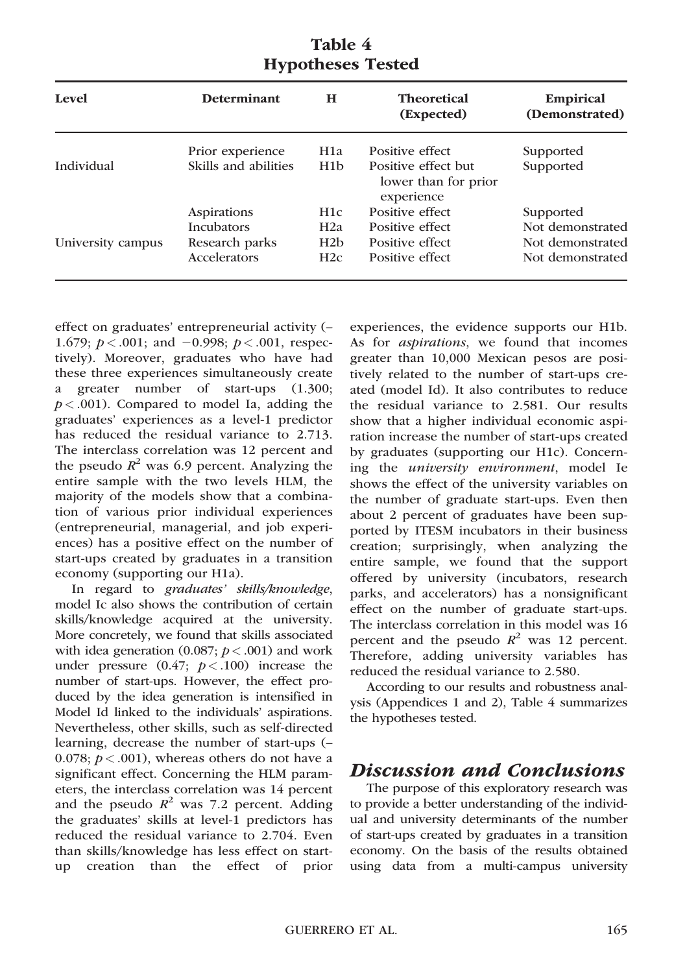| <b>Level</b>      | <b>Determinant</b>   | н                | <b>Theoretical</b><br>(Expected)                          | <b>Empirical</b><br>(Demonstrated) |
|-------------------|----------------------|------------------|-----------------------------------------------------------|------------------------------------|
|                   | Prior experience     | H <sub>1</sub> a | Positive effect                                           | Supported                          |
| Individual        | Skills and abilities | H1 <sub>b</sub>  | Positive effect but<br>lower than for prior<br>experience | Supported                          |
|                   | Aspirations          | H1c              | Positive effect                                           | Supported                          |
|                   | <b>Incubators</b>    | H2a              | Positive effect                                           | Not demonstrated                   |
| University campus | Research parks       | H2b              | Positive effect                                           | Not demonstrated                   |
|                   | Accelerators         | H2c              | Positive effect                                           | Not demonstrated                   |

## Table 4 Hypotheses Tested

effect on graduates' entrepreneurial activity (– 1.679;  $p < .001$ ; and  $-0.998$ ;  $p < .001$ , respectively). Moreover, graduates who have had these three experiences simultaneously create a greater number of start-ups (1.300;  $p < .001$ ). Compared to model Ia, adding the graduates' experiences as a level-1 predictor has reduced the residual variance to 2.713. The interclass correlation was 12 percent and the pseudo  $R^2$  was 6.9 percent. Analyzing the entire sample with the two levels HLM, the majority of the models show that a combination of various prior individual experiences (entrepreneurial, managerial, and job experiences) has a positive effect on the number of start-ups created by graduates in a transition economy (supporting our H1a).

In regard to graduates' skills/knowledge, model Ic also shows the contribution of certain skills/knowledge acquired at the university. More concretely, we found that skills associated with idea generation (0.087;  $p < .001$ ) and work under pressure  $(0.47; p < .100)$  increase the number of start-ups. However, the effect produced by the idea generation is intensified in Model Id linked to the individuals' aspirations. Nevertheless, other skills, such as self-directed learning, decrease the number of start-ups (– 0.078;  $p < .001$ ), whereas others do not have a significant effect. Concerning the HLM parameters, the interclass correlation was 14 percent and the pseudo  $R^2$  was 7.2 percent. Adding the graduates' skills at level-1 predictors has reduced the residual variance to 2.704. Even than skills/knowledge has less effect on startup creation than the effect of prior

experiences, the evidence supports our H1b. As for *aspirations*, we found that incomes greater than 10,000 Mexican pesos are positively related to the number of start-ups created (model Id). It also contributes to reduce the residual variance to 2.581. Our results show that a higher individual economic aspiration increase the number of start-ups created by graduates (supporting our H1c). Concerning the university environment, model Ie shows the effect of the university variables on the number of graduate start-ups. Even then about 2 percent of graduates have been supported by ITESM incubators in their business creation; surprisingly, when analyzing the entire sample, we found that the support offered by university (incubators, research parks, and accelerators) has a nonsignificant effect on the number of graduate start-ups. The interclass correlation in this model was 16 percent and the pseudo  $R^2$  was 12 percent. Therefore, adding university variables has reduced the residual variance to 2.580.

According to our results and robustness analysis (Appendices 1 and 2), Table 4 summarizes the hypotheses tested.

# Discussion and Conclusions

The purpose of this exploratory research was to provide a better understanding of the individual and university determinants of the number of start-ups created by graduates in a transition economy. On the basis of the results obtained using data from a multi-campus university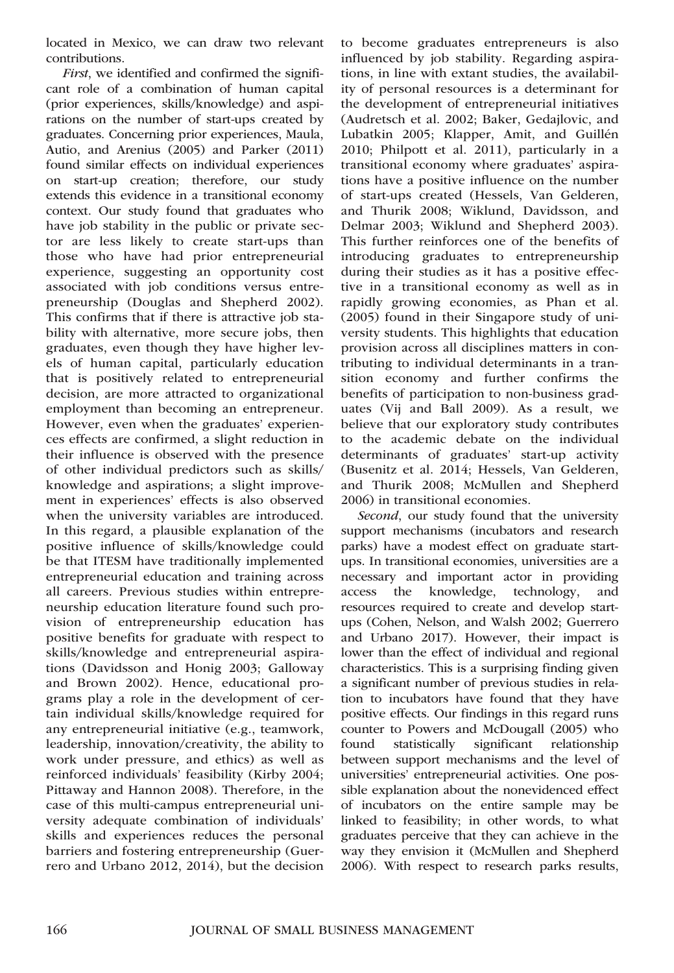located in Mexico, we can draw two relevant contributions.

First, we identified and confirmed the significant role of a combination of human capital (prior experiences, skills/knowledge) and aspirations on the number of start-ups created by graduates. Concerning prior experiences, Maula, Autio, and Arenius (2005) and Parker (2011) found similar effects on individual experiences on start-up creation; therefore, our study extends this evidence in a transitional economy context. Our study found that graduates who have job stability in the public or private sector are less likely to create start-ups than those who have had prior entrepreneurial experience, suggesting an opportunity cost associated with job conditions versus entrepreneurship (Douglas and Shepherd 2002). This confirms that if there is attractive job stability with alternative, more secure jobs, then graduates, even though they have higher levels of human capital, particularly education that is positively related to entrepreneurial decision, are more attracted to organizational employment than becoming an entrepreneur. However, even when the graduates' experiences effects are confirmed, a slight reduction in their influence is observed with the presence of other individual predictors such as skills/ knowledge and aspirations; a slight improvement in experiences' effects is also observed when the university variables are introduced. In this regard, a plausible explanation of the positive influence of skills/knowledge could be that ITESM have traditionally implemented entrepreneurial education and training across all careers. Previous studies within entrepreneurship education literature found such provision of entrepreneurship education has positive benefits for graduate with respect to skills/knowledge and entrepreneurial aspirations (Davidsson and Honig 2003; Galloway and Brown 2002). Hence, educational programs play a role in the development of certain individual skills/knowledge required for any entrepreneurial initiative (e.g., teamwork, leadership, innovation/creativity, the ability to work under pressure, and ethics) as well as reinforced individuals' feasibility (Kirby 2004; Pittaway and Hannon 2008). Therefore, in the case of this multi-campus entrepreneurial university adequate combination of individuals' skills and experiences reduces the personal barriers and fostering entrepreneurship (Guerrero and Urbano 2012, 2014), but the decision

to become graduates entrepreneurs is also influenced by job stability. Regarding aspirations, in line with extant studies, the availability of personal resources is a determinant for the development of entrepreneurial initiatives (Audretsch et al. 2002; Baker, Gedajlovic, and Lubatkin 2005; Klapper, Amit, and Guillén 2010; Philpott et al. 2011), particularly in a transitional economy where graduates' aspirations have a positive influence on the number of start-ups created (Hessels, Van Gelderen, and Thurik 2008; Wiklund, Davidsson, and Delmar 2003; Wiklund and Shepherd 2003). This further reinforces one of the benefits of introducing graduates to entrepreneurship during their studies as it has a positive effective in a transitional economy as well as in rapidly growing economies, as Phan et al. (2005) found in their Singapore study of university students. This highlights that education provision across all disciplines matters in contributing to individual determinants in a transition economy and further confirms the benefits of participation to non-business graduates (Vij and Ball 2009). As a result, we believe that our exploratory study contributes to the academic debate on the individual determinants of graduates' start-up activity (Busenitz et al. 2014; Hessels, Van Gelderen, and Thurik 2008; McMullen and Shepherd 2006) in transitional economies.

Second, our study found that the university support mechanisms (incubators and research parks) have a modest effect on graduate startups. In transitional economies, universities are a necessary and important actor in providing access the knowledge, technology, and resources required to create and develop startups (Cohen, Nelson, and Walsh 2002; Guerrero and Urbano 2017). However, their impact is lower than the effect of individual and regional characteristics. This is a surprising finding given a significant number of previous studies in relation to incubators have found that they have positive effects. Our findings in this regard runs counter to Powers and McDougall (2005) who found statistically significant relationship between support mechanisms and the level of universities' entrepreneurial activities. One possible explanation about the nonevidenced effect of incubators on the entire sample may be linked to feasibility; in other words, to what graduates perceive that they can achieve in the way they envision it (McMullen and Shepherd 2006). With respect to research parks results,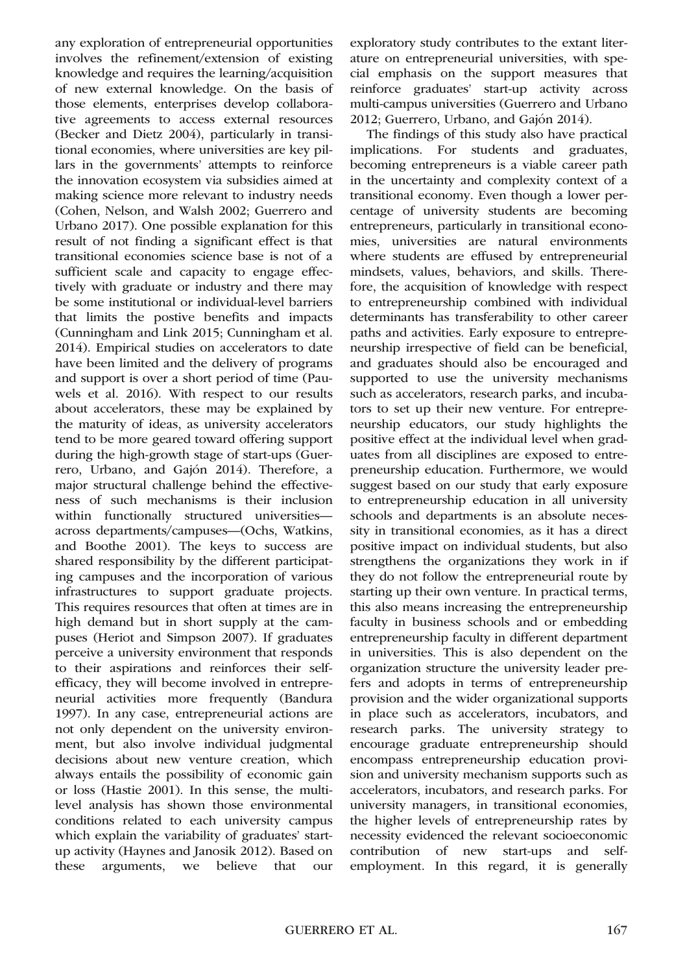any exploration of entrepreneurial opportunities involves the refinement/extension of existing knowledge and requires the learning/acquisition of new external knowledge. On the basis of those elements, enterprises develop collaborative agreements to access external resources (Becker and Dietz 2004), particularly in transitional economies, where universities are key pillars in the governments' attempts to reinforce the innovation ecosystem via subsidies aimed at making science more relevant to industry needs (Cohen, Nelson, and Walsh 2002; Guerrero and Urbano 2017). One possible explanation for this result of not finding a significant effect is that transitional economies science base is not of a sufficient scale and capacity to engage effectively with graduate or industry and there may be some institutional or individual-level barriers that limits the postive benefits and impacts (Cunningham and Link 2015; Cunningham et al. 2014). Empirical studies on accelerators to date have been limited and the delivery of programs and support is over a short period of time (Pauwels et al. 2016). With respect to our results about accelerators, these may be explained by the maturity of ideas, as university accelerators tend to be more geared toward offering support during the high-growth stage of start-ups (Guerrero, Urbano, and Gajón 2014). Therefore, a major structural challenge behind the effectiveness of such mechanisms is their inclusion within functionally structured universities across departments/campuses—(Ochs, Watkins, and Boothe 2001). The keys to success are shared responsibility by the different participating campuses and the incorporation of various infrastructures to support graduate projects. This requires resources that often at times are in high demand but in short supply at the campuses (Heriot and Simpson 2007). If graduates perceive a university environment that responds to their aspirations and reinforces their selfefficacy, they will become involved in entrepreneurial activities more frequently (Bandura 1997). In any case, entrepreneurial actions are not only dependent on the university environment, but also involve individual judgmental decisions about new venture creation, which always entails the possibility of economic gain or loss (Hastie 2001). In this sense, the multilevel analysis has shown those environmental conditions related to each university campus which explain the variability of graduates' startup activity (Haynes and Janosik 2012). Based on these arguments, we believe that our

exploratory study contributes to the extant literature on entrepreneurial universities, with special emphasis on the support measures that reinforce graduates' start-up activity across multi-campus universities (Guerrero and Urbano 2012; Guerrero, Urbano, and Gajón 2014).

The findings of this study also have practical implications. For students and graduates, becoming entrepreneurs is a viable career path in the uncertainty and complexity context of a transitional economy. Even though a lower percentage of university students are becoming entrepreneurs, particularly in transitional economies, universities are natural environments where students are effused by entrepreneurial mindsets, values, behaviors, and skills. Therefore, the acquisition of knowledge with respect to entrepreneurship combined with individual determinants has transferability to other career paths and activities. Early exposure to entrepreneurship irrespective of field can be beneficial, and graduates should also be encouraged and supported to use the university mechanisms such as accelerators, research parks, and incubators to set up their new venture. For entrepreneurship educators, our study highlights the positive effect at the individual level when graduates from all disciplines are exposed to entrepreneurship education. Furthermore, we would suggest based on our study that early exposure to entrepreneurship education in all university schools and departments is an absolute necessity in transitional economies, as it has a direct positive impact on individual students, but also strengthens the organizations they work in if they do not follow the entrepreneurial route by starting up their own venture. In practical terms, this also means increasing the entrepreneurship faculty in business schools and or embedding entrepreneurship faculty in different department in universities. This is also dependent on the organization structure the university leader prefers and adopts in terms of entrepreneurship provision and the wider organizational supports in place such as accelerators, incubators, and research parks. The university strategy to encourage graduate entrepreneurship should encompass entrepreneurship education provision and university mechanism supports such as accelerators, incubators, and research parks. For university managers, in transitional economies, the higher levels of entrepreneurship rates by necessity evidenced the relevant socioeconomic contribution of new start-ups and selfemployment. In this regard, it is generally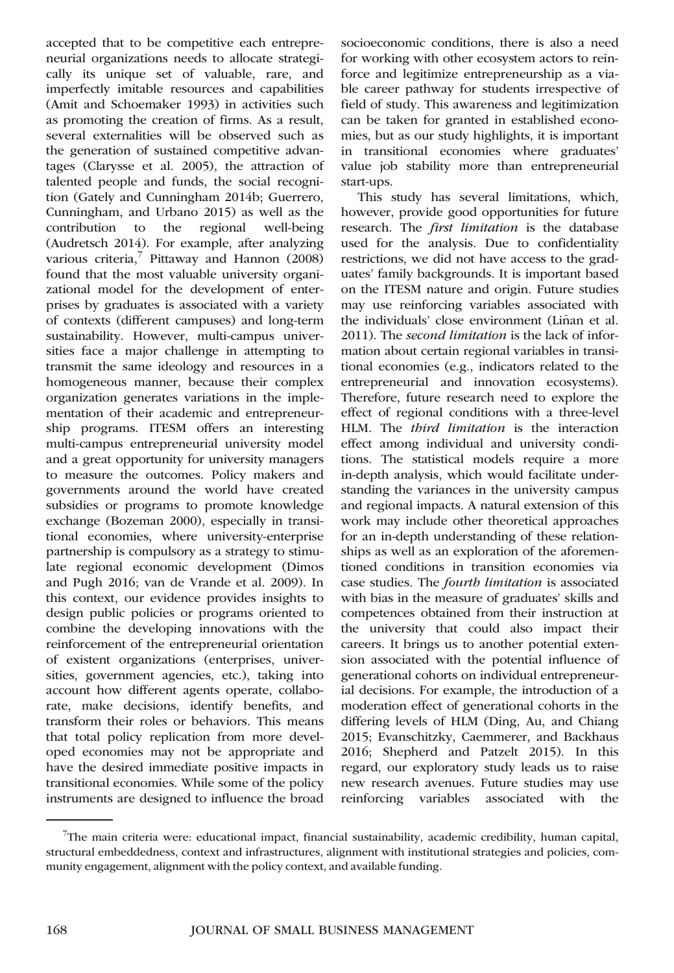accepted that to be competitive each entrepreneurial organizations needs to allocate strategically its unique set of valuable, rare, and imperfectly imitable resources and capabilities (Amit and Schoemaker 1993) in activities such as promoting the creation of firms. As a result, several externalities will be observed such as the generation of sustained competitive advantages (Clarysse et al. 2005), the attraction of talented people and funds, the social recognition (Gately and Cunningham 2014b; Guerrero, Cunningham, and Urbano 2015) as well as the contribution to the regional well-being (Audretsch 2014). For example, after analyzing various criteria, $\frac{7}{7}$  Pittaway and Hannon (2008) found that the most valuable university organizational model for the development of enterprises by graduates is associated with a variety of contexts (different campuses) and long-term sustainability. However, multi-campus universities face a major challenge in attempting to transmit the same ideology and resources in a homogeneous manner, because their complex organization generates variations in the implementation of their academic and entrepreneurship programs. ITESM offers an interesting multi-campus entrepreneurial university model and a great opportunity for university managers to measure the outcomes. Policy makers and governments around the world have created subsidies or programs to promote knowledge exchange (Bozeman 2000), especially in transitional economies, where university-enterprise partnership is compulsory as a strategy to stimulate regional economic development (Dimos and Pugh 2016; van de Vrande et al. 2009). In this context, our evidence provides insights to design public policies or programs oriented to combine the developing innovations with the reinforcement of the entrepreneurial orientation of existent organizations (enterprises, universities, government agencies, etc.), taking into account how different agents operate, collaborate, make decisions, identify benefits, and transform their roles or behaviors. This means that total policy replication from more developed economies may not be appropriate and have the desired immediate positive impacts in transitional economies. While some of the policy instruments are designed to influence the broad socioeconomic conditions, there is also a need for working with other ecosystem actors to reinforce and legitimize entrepreneurship as a viable career pathway for students irrespective of field of study. This awareness and legitimization can be taken for granted in established economies, but as our study highlights, it is important in transitional economies where graduates' value job stability more than entrepreneurial start-ups.

This study has several limitations, which, however, provide good opportunities for future research. The first limitation is the database used for the analysis. Due to confidentiality restrictions, we did not have access to the graduates' family backgrounds. It is important based on the ITESM nature and origin. Future studies may use reinforcing variables associated with the individuals' close environment (Liñan et al. 2011). The second limitation is the lack of information about certain regional variables in transitional economies (e.g., indicators related to the entrepreneurial and innovation ecosystems). Therefore, future research need to explore the effect of regional conditions with a three-level HLM. The *third limitation* is the interaction effect among individual and university conditions. The statistical models require a more in-depth analysis, which would facilitate understanding the variances in the university campus and regional impacts. A natural extension of this work may include other theoretical approaches for an in-depth understanding of these relationships as well as an exploration of the aforementioned conditions in transition economies via case studies. The fourth limitation is associated with bias in the measure of graduates' skills and competences obtained from their instruction at the university that could also impact their careers. It brings us to another potential extension associated with the potential influence of generational cohorts on individual entrepreneurial decisions. For example, the introduction of a moderation effect of generational cohorts in the differing levels of HLM (Ding, Au, and Chiang 2015; Evanschitzky, Caemmerer, and Backhaus 2016; Shepherd and Patzelt 2015). In this regard, our exploratory study leads us to raise new research avenues. Future studies may use reinforcing variables associated with the

<sup>&</sup>lt;sup>7</sup>The main criteria were: educational impact, financial sustainability, academic credibility, human capital, structural embeddedness, context and infrastructures, alignment with institutional strategies and policies, community engagement, alignment with the policy context, and available funding.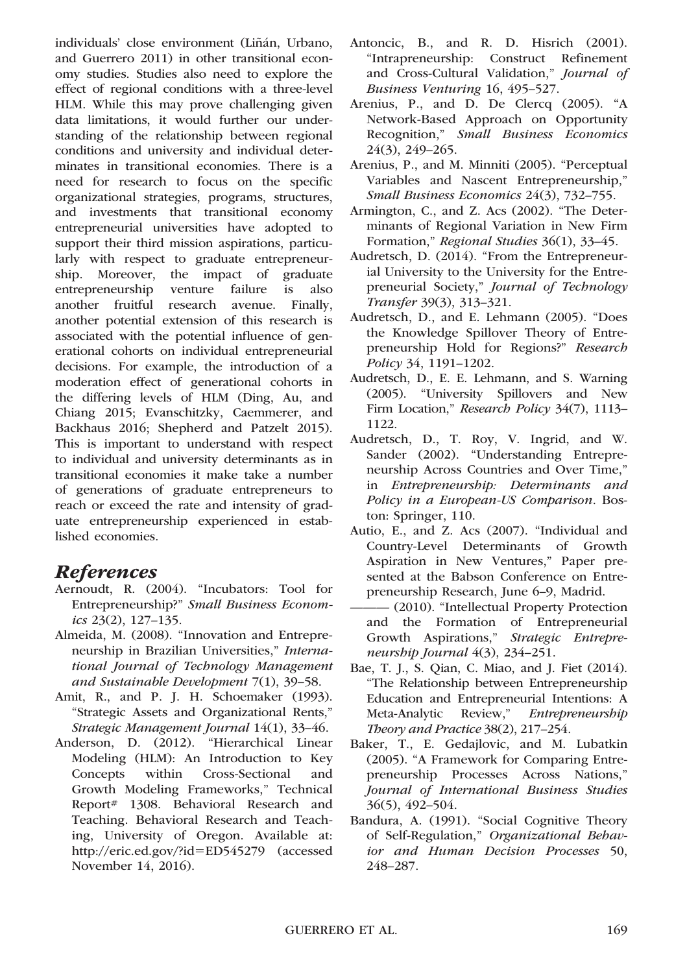individuals' close environment (Liñán, Urbano, and Guerrero 2011) in other transitional economy studies. Studies also need to explore the effect of regional conditions with a three-level HLM. While this may prove challenging given data limitations, it would further our understanding of the relationship between regional conditions and university and individual determinates in transitional economies. There is a need for research to focus on the specific organizational strategies, programs, structures, and investments that transitional economy entrepreneurial universities have adopted to support their third mission aspirations, particularly with respect to graduate entrepreneurship. Moreover, the impact of graduate entrepreneurship venture failure is also another fruitful research avenue. Finally, another potential extension of this research is associated with the potential influence of generational cohorts on individual entrepreneurial decisions. For example, the introduction of a moderation effect of generational cohorts in the differing levels of HLM (Ding, Au, and Chiang 2015; Evanschitzky, Caemmerer, and Backhaus 2016; Shepherd and Patzelt 2015). This is important to understand with respect to individual and university determinants as in transitional economies it make take a number of generations of graduate entrepreneurs to reach or exceed the rate and intensity of graduate entrepreneurship experienced in established economies.

# References

- Aernoudt, R. (2004). "Incubators: Tool for Entrepreneurship?" Small Business Economics 23(2), 127–135.
- Almeida, M. (2008). "Innovation and Entrepreneurship in Brazilian Universities," International Journal of Technology Management and Sustainable Development 7(1), 39–58.
- Amit, R., and P. J. H. Schoemaker (1993). "Strategic Assets and Organizational Rents," Strategic Management Journal 14(1), 33–46.
- Anderson, D. (2012). "Hierarchical Linear Modeling (HLM): An Introduction to Key Concepts within Cross-Sectional and Growth Modeling Frameworks," Technical Report# 1308. Behavioral Research and Teaching. Behavioral Research and Teaching, University of Oregon. Available at: [http://eric.ed.gov/?id](http://eric.ed.gov/?id=ED545279)=[ED545279](http://eric.ed.gov/?id=ED545279) (accessed November 14, 2016).
- Antoncic, B., and R. D. Hisrich (2001). "Intrapreneurship: Construct Refinement and Cross-Cultural Validation," Journal of Business Venturing 16, 495–527.
- Arenius, P., and D. De Clercq (2005). "A Network-Based Approach on Opportunity Recognition," Small Business Economics 24(3), 249–265.
- Arenius, P., and M. Minniti (2005). "Perceptual Variables and Nascent Entrepreneurship," Small Business Economics 24(3), 732–755.
- Armington, C., and Z. Acs (2002). "The Determinants of Regional Variation in New Firm Formation," Regional Studies 36(1), 33–45.
- Audretsch, D. (2014). "From the Entrepreneurial University to the University for the Entrepreneurial Society," Journal of Technology Transfer 39(3), 313–321.
- Audretsch, D., and E. Lehmann (2005). "Does the Knowledge Spillover Theory of Entrepreneurship Hold for Regions?" Research Policy 34, 1191–1202.
- Audretsch, D., E. E. Lehmann, and S. Warning (2005). "University Spillovers and New Firm Location," Research Policy 34(7), 1113– 1122.
- Audretsch, D., T. Roy, V. Ingrid, and W. Sander (2002). "Understanding Entrepreneurship Across Countries and Over Time," in Entrepreneurship: Determinants and Policy in a European-US Comparison. Boston: Springer, 110.
- Autio, E., and Z. Acs (2007). "Individual and Country-Level Determinants of Growth Aspiration in New Ventures," Paper presented at the Babson Conference on Entrepreneurship Research, June 6–9, Madrid.
- $-$  (2010). "Intellectual Property Protection and the Formation of Entrepreneurial Growth Aspirations," Strategic Entrepreneurship Journal 4(3), 234–251.
- Bae, T. J., S. Qian, C. Miao, and J. Fiet (2014). "The Relationship between Entrepreneurship Education and Entrepreneurial Intentions: A Meta-Analytic Review," Entrepreneurship Theory and Practice 38(2), 217–254.
- Baker, T., E. Gedajlovic, and M. Lubatkin (2005). "A Framework for Comparing Entrepreneurship Processes Across Nations," Journal of International Business Studies 36(5), 492–504.
- Bandura, A. (1991). "Social Cognitive Theory of Self-Regulation," Organizational Behavior and Human Decision Processes 50, 248–287.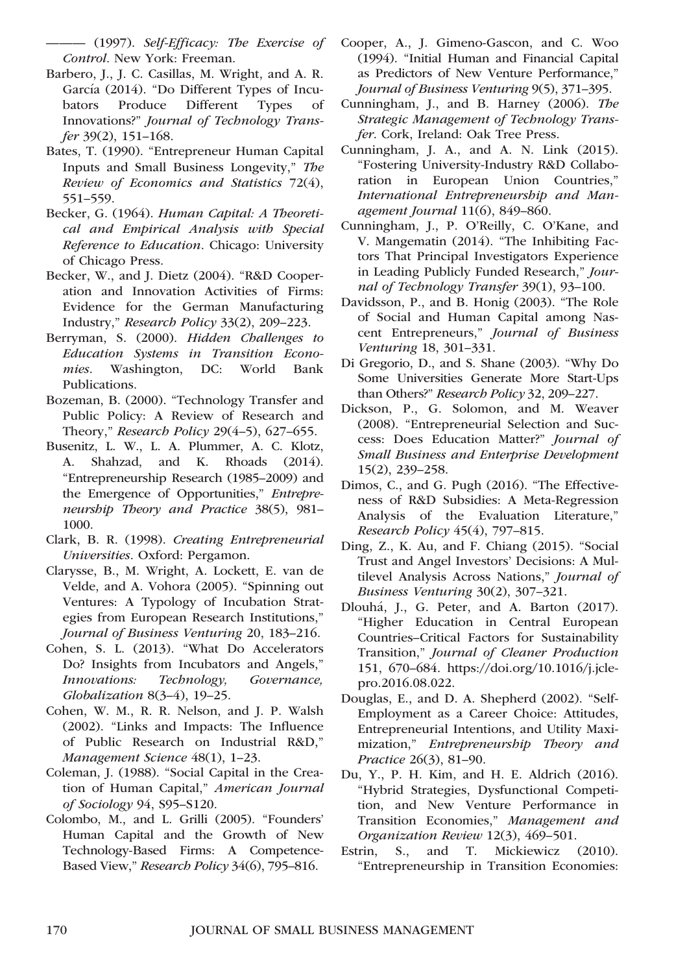——— (1997). Self-Efficacy: The Exercise of Control. New York: Freeman.

- Barbero, J., J. C. Casillas, M. Wright, and A. R. García (2014). "Do Different Types of Incubators Produce Different Types of Innovations?" Journal of Technology Transfer 39(2), 151–168.
- Bates, T. (1990). "Entrepreneur Human Capital Inputs and Small Business Longevity," The Review of Economics and Statistics 72(4), 551–559.
- Becker, G. (1964). Human Capital: A Theoretical and Empirical Analysis with Special Reference to Education. Chicago: University of Chicago Press.
- Becker, W., and J. Dietz (2004). "R&D Cooperation and Innovation Activities of Firms: Evidence for the German Manufacturing Industry," Research Policy 33(2), 209–223.
- Berryman, S. (2000). Hidden Challenges to Education Systems in Transition Economies. Washington, DC: World Bank Publications.
- Bozeman, B. (2000). "Technology Transfer and Public Policy: A Review of Research and Theory," Research Policy 29(4–5), 627–655.
- Busenitz, L. W., L. A. Plummer, A. C. Klotz, A. Shahzad, and K. Rhoads (2014). "Entrepreneurship Research (1985–2009) and the Emergence of Opportunities," Entrepreneurship Theory and Practice 38(5), 981– 1000.
- Clark, B. R. (1998). Creating Entrepreneurial Universities. Oxford: Pergamon.
- Clarysse, B., M. Wright, A. Lockett, E. van de Velde, and A. Vohora (2005). "Spinning out Ventures: A Typology of Incubation Strategies from European Research Institutions," Journal of Business Venturing 20, 183–216.
- Cohen, S. L. (2013). "What Do Accelerators Do? Insights from Incubators and Angels," Innovations: Technology, Governance, Globalization 8(3–4), 19–25.
- Cohen, W. M., R. R. Nelson, and J. P. Walsh (2002). "Links and Impacts: The Influence of Public Research on Industrial R&D," Management Science 48(1), 1–23.
- Coleman, J. (1988). "Social Capital in the Creation of Human Capital," American Journal of Sociology 94, S95–S120.
- Colombo, M., and L. Grilli (2005). "Founders' Human Capital and the Growth of New Technology-Based Firms: A Competence-Based View," Research Policy 34(6), 795–816.
- Cooper, A., J. Gimeno-Gascon, and C. Woo (1994). "Initial Human and Financial Capital as Predictors of New Venture Performance," Journal of Business Venturing 9(5), 371–395.
- Cunningham, J., and B. Harney (2006). The Strategic Management of Technology Transfer. Cork, Ireland: Oak Tree Press.
- Cunningham, J. A., and A. N. Link (2015). "Fostering University-Industry R&D Collaboration in European Union Countries," International Entrepreneurship and Management Journal 11(6), 849–860.
- Cunningham, J., P. O'Reilly, C. O'Kane, and V. Mangematin (2014). "The Inhibiting Factors That Principal Investigators Experience in Leading Publicly Funded Research," Journal of Technology Transfer 39(1), 93–100.
- Davidsson, P., and B. Honig (2003). "The Role of Social and Human Capital among Nascent Entrepreneurs," Journal of Business Venturing 18, 301–331.
- Di Gregorio, D., and S. Shane (2003). "Why Do Some Universities Generate More Start-Ups than Others?" Research Policy 32, 209–227.
- Dickson, P., G. Solomon, and M. Weaver (2008). "Entrepreneurial Selection and Success: Does Education Matter?" Journal of Small Business and Enterprise Development 15(2), 239–258.
- Dimos, C., and G. Pugh (2016). "The Effectiveness of R&D Subsidies: A Meta-Regression Analysis of the Evaluation Literature," Research Policy 45(4), 797–815.
- Ding, Z., K. Au, and F. Chiang (2015). "Social Trust and Angel Investors' Decisions: A Multilevel Analysis Across Nations," Journal of Business Venturing 30(2), 307–321.
- Dlouhá, J., G. Peter, and A. Barton (2017). "Higher Education in Central European Countries–Critical Factors for Sustainability Transition," Journal of Cleaner Production 151, 670–684. [https://doi.org/10.1016/j.jcle](https://doi.org/10.1016/j.jclepro.2016.08.022)[pro.2016.08.022.](https://doi.org/10.1016/j.jclepro.2016.08.022)
- Douglas, E., and D. A. Shepherd (2002). "Self-Employment as a Career Choice: Attitudes, Entrepreneurial Intentions, and Utility Maximization," Entrepreneurship Theory and Practice 26(3), 81–90.
- Du, Y., P. H. Kim, and H. E. Aldrich (2016). "Hybrid Strategies, Dysfunctional Competition, and New Venture Performance in Transition Economies," Management and Organization Review 12(3), 469–501.
- Estrin, S., and T. Mickiewicz (2010). "Entrepreneurship in Transition Economies: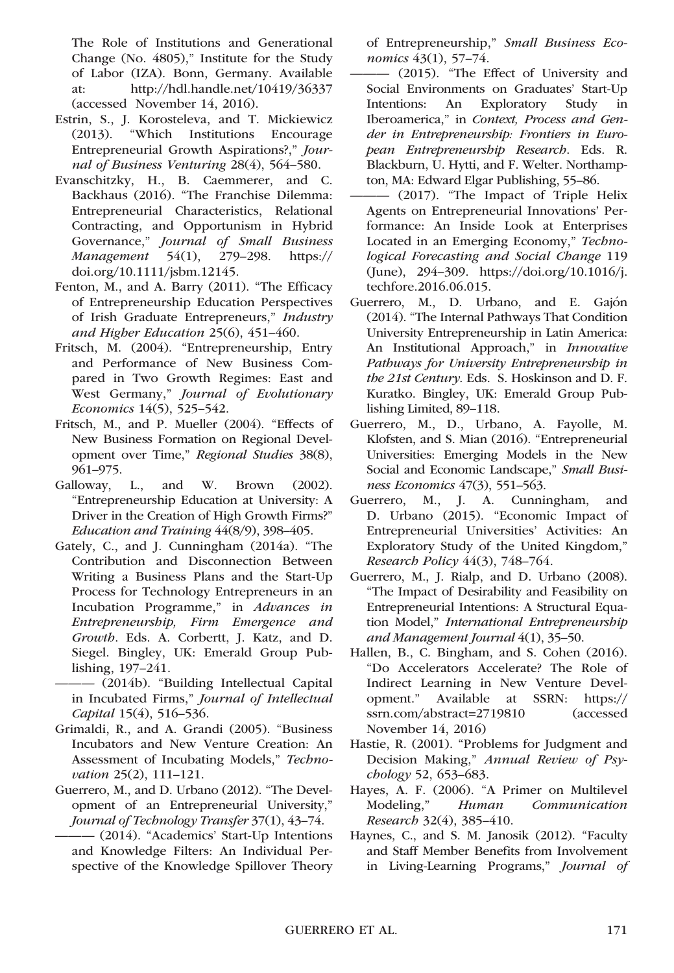The Role of Institutions and Generational Change (No. 4805)," Institute for the Study of Labor (IZA). Bonn, Germany. Available at: http://hdl.handle.net/10419/36337 (accessed November 14, 2016).

- Estrin, S., J. Korosteleva, and T. Mickiewicz (2013). "Which Institutions Encourage Entrepreneurial Growth Aspirations?," Journal of Business Venturing 28(4), 564–580.
- Evanschitzky, H., B. Caemmerer, and C. Backhaus (2016). "The Franchise Dilemma: Entrepreneurial Characteristics, Relational Contracting, and Opportunism in Hybrid Governance," Journal of Small Business Management 54(1), 279–298. https:// doi.org/[10.1111/jsbm.12145](info:doi/10.1111/jsbm.12145).
- Fenton, M., and A. Barry (2011). "The Efficacy of Entrepreneurship Education Perspectives of Irish Graduate Entrepreneurs," Industry and Higher Education 25(6), 451–460.
- Fritsch, M. (2004). "Entrepreneurship, Entry and Performance of New Business Compared in Two Growth Regimes: East and West Germany," Journal of Evolutionary Economics 14(5), 525–542.
- Fritsch, M., and P. Mueller (2004). "Effects of New Business Formation on Regional Development over Time," Regional Studies 38(8), 961–975.
- Galloway, L., and W. Brown (2002). "Entrepreneurship Education at University: A Driver in the Creation of High Growth Firms?" Education and Training 44(8/9), 398–405.
- Gately, C., and J. Cunningham (2014a). "The Contribution and Disconnection Between Writing a Business Plans and the Start-Up Process for Technology Entrepreneurs in an Incubation Programme," in Advances in Entrepreneurship, Firm Emergence and Growth. Eds. A. Corbertt, J. Katz, and D. Siegel. Bingley, UK: Emerald Group Publishing, 197–241.

——— (2014b). "Building Intellectual Capital in Incubated Firms," Journal of Intellectual Capital 15(4), 516–536.

- Grimaldi, R., and A. Grandi (2005). "Business Incubators and New Venture Creation: An Assessment of Incubating Models," Technovation 25(2), 111–121.
- Guerrero, M., and D. Urbano (2012). "The Development of an Entrepreneurial University," Journal of Technology Transfer 37(1), 43–74.
- ——— (2014). "Academics' Start-Up Intentions and Knowledge Filters: An Individual Perspective of the Knowledge Spillover Theory

of Entrepreneurship," Small Business Economics 43(1), 57–74.

- ——— (2015). "The Effect of University and Social Environments on Graduates' Start-Up Intentions: An Exploratory Study in Iberoamerica," in Context, Process and Gender in Entrepreneurship: Frontiers in European Entrepreneurship Research. Eds. R. Blackburn, U. Hytti, and F. Welter. Northampton, MA: Edward Elgar Publishing, 55–86.
- $-$  (2017). "The Impact of Triple Helix Agents on Entrepreneurial Innovations' Performance: An Inside Look at Enterprises Located in an Emerging Economy," Technological Forecasting and Social Change 119 (June), 294–309. [https://doi.org/10.1016/j.](https://doi.org/10.1016/j.techfore.2016.06.015) [techfore.2016.06.015.](https://doi.org/10.1016/j.techfore.2016.06.015)
- Guerrero, M., D. Urbano, and E. Gajón (2014). "The Internal Pathways That Condition University Entrepreneurship in Latin America: An Institutional Approach," in Innovative Pathways for University Entrepreneurship in the 21st Century. Eds. S. Hoskinson and D. F. Kuratko. Bingley, UK: Emerald Group Publishing Limited, 89–118.
- Guerrero, M., D., Urbano, A. Fayolle, M. Klofsten, and S. Mian (2016). "Entrepreneurial Universities: Emerging Models in the New Social and Economic Landscape," Small Business Economics 47(3), 551–563.
- Guerrero, M., J. A. Cunningham, and D. Urbano (2015). "Economic Impact of Entrepreneurial Universities' Activities: An Exploratory Study of the United Kingdom," Research Policy 44(3), 748–764.
- Guerrero, M., J. Rialp, and D. Urbano (2008). "The Impact of Desirability and Feasibility on Entrepreneurial Intentions: A Structural Equation Model," International Entrepreneurship and Management Journal 4(1), 35–50.
- Hallen, B., C. Bingham, and S. Cohen (2016). "Do Accelerators Accelerate? The Role of Indirect Learning in New Venture Development." Available at SSRN: https:// ssrn.com/abstract=2719810 (accessed November 14, 2016)
- Hastie, R. (2001). "Problems for Judgment and Decision Making," Annual Review of Psychology 52, 653–683.
- Hayes, A. F. (2006). "A Primer on Multilevel Modeling," Human Communication Research 32(4), 385–410.
- Haynes, C., and S. M. Janosik (2012). "Faculty and Staff Member Benefits from Involvement in Living-Learning Programs," Journal of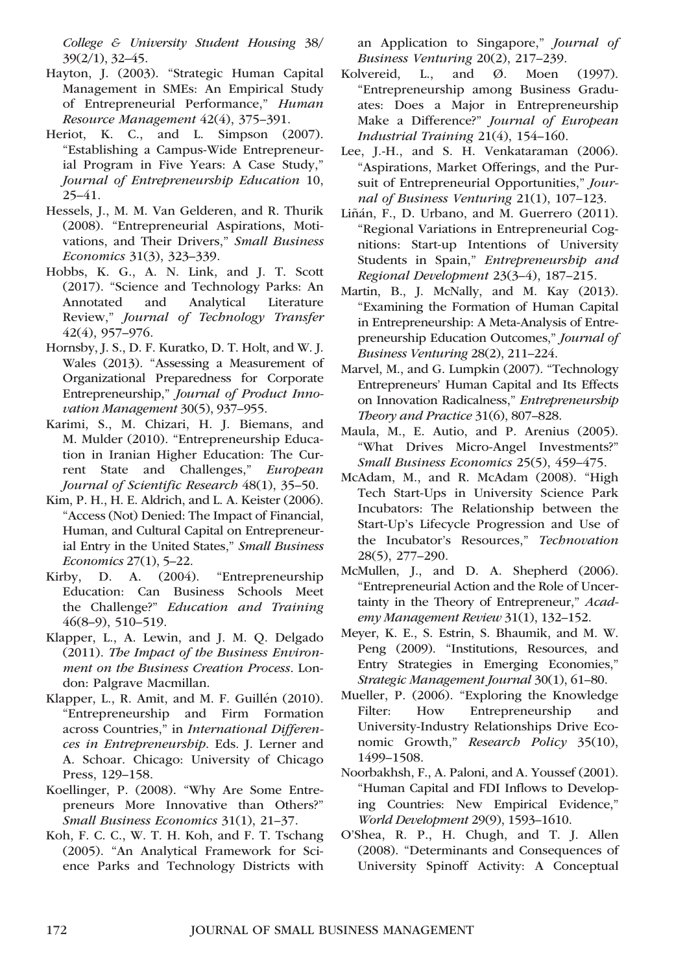College & University Student Housing 38/ 39(2/1), 32–45.

- Hayton, J. (2003). "Strategic Human Capital Management in SMEs: An Empirical Study of Entrepreneurial Performance," Human Resource Management 42(4), 375–391.
- Heriot, K. C., and L. Simpson (2007). "Establishing a Campus-Wide Entrepreneurial Program in Five Years: A Case Study," Journal of Entrepreneurship Education 10, 25–41.
- Hessels, J., M. M. Van Gelderen, and R. Thurik (2008). "Entrepreneurial Aspirations, Motivations, and Their Drivers," Small Business Economics 31(3), 323–339.
- Hobbs, K. G., A. N. Link, and J. T. Scott (2017). "Science and Technology Parks: An Annotated and Analytical Literature Review," Journal of Technology Transfer 42(4), 957–976.
- Hornsby, J. S., D. F. Kuratko, D. T. Holt, and W. J. Wales (2013). "Assessing a Measurement of Organizational Preparedness for Corporate Entrepreneurship," Journal of Product Innovation Management 30(5), 937–955.
- Karimi, S., M. Chizari, H. J. Biemans, and M. Mulder (2010). "Entrepreneurship Education in Iranian Higher Education: The Current State and Challenges," European Journal of Scientific Research 48(1), 35–50.
- Kim, P. H., H. E. Aldrich, and L. A. Keister (2006). "Access (Not) Denied: The Impact of Financial, Human, and Cultural Capital on Entrepreneurial Entry in the United States," Small Business Economics 27(1), 5–22.
- Kirby, D. A. (2004). "Entrepreneurship Education: Can Business Schools Meet the Challenge?" Education and Training 46(8–9), 510–519.
- Klapper, L., A. Lewin, and J. M. Q. Delgado (2011). The Impact of the Business Environment on the Business Creation Process. London: Palgrave Macmillan.
- Klapper, L., R. Amit, and M. F. Guillén (2010). "Entrepreneurship and Firm Formation across Countries," in International Differences in Entrepreneurship. Eds. J. Lerner and A. Schoar. Chicago: University of Chicago Press, 129–158.
- Koellinger, P. (2008). "Why Are Some Entrepreneurs More Innovative than Others?" Small Business Economics 31(1), 21–37.
- Koh, F. C. C., W. T. H. Koh, and F. T. Tschang (2005). "An Analytical Framework for Science Parks and Technology Districts with

an Application to Singapore," Journal of Business Venturing 20(2), 217–239.

- Kolvereid, L., and  $\varnothing$ . Moen (1997). "Entrepreneurship among Business Graduates: Does a Major in Entrepreneurship Make a Difference?" Journal of European Industrial Training 21(4), 154–160.
- Lee, J.-H., and S. H. Venkataraman (2006). "Aspirations, Market Offerings, and the Pursuit of Entrepreneurial Opportunities," Journal of Business Venturing 21(1), 107–123.
- Liñán, F., D. Urbano, and M. Guerrero (2011). "Regional Variations in Entrepreneurial Cognitions: Start-up Intentions of University Students in Spain," Entrepreneurship and Regional Development 23(3–4), 187–215.
- Martin, B., J. McNally, and M. Kay (2013). "Examining the Formation of Human Capital in Entrepreneurship: A Meta-Analysis of Entrepreneurship Education Outcomes," Journal of Business Venturing 28(2), 211–224.
- Marvel, M., and G. Lumpkin (2007). "Technology Entrepreneurs' Human Capital and Its Effects on Innovation Radicalness," Entrepreneurship Theory and Practice 31(6), 807–828.
- Maula, M., E. Autio, and P. Arenius (2005). "What Drives Micro-Angel Investments?" Small Business Economics 25(5), 459–475.
- McAdam, M., and R. McAdam (2008). "High Tech Start-Ups in University Science Park Incubators: The Relationship between the Start-Up's Lifecycle Progression and Use of the Incubator's Resources," Technovation 28(5), 277–290.
- McMullen, J., and D. A. Shepherd (2006). "Entrepreneurial Action and the Role of Uncertainty in the Theory of Entrepreneur," Academy Management Review 31(1), 132–152.
- Meyer, K. E., S. Estrin, S. Bhaumik, and M. W. Peng (2009). "Institutions, Resources, and Entry Strategies in Emerging Economies," Strategic Management Journal 30(1), 61–80.
- Mueller, P. (2006). "Exploring the Knowledge Filter: How Entrepreneurship and University-Industry Relationships Drive Economic Growth," Research Policy 35(10), 1499–1508.
- Noorbakhsh, F., A. Paloni, and A. Youssef (2001). "Human Capital and FDI Inflows to Developing Countries: New Empirical Evidence," World Development 29(9), 1593–1610.
- O'Shea, R. P., H. Chugh, and T. J. Allen (2008). "Determinants and Consequences of University Spinoff Activity: A Conceptual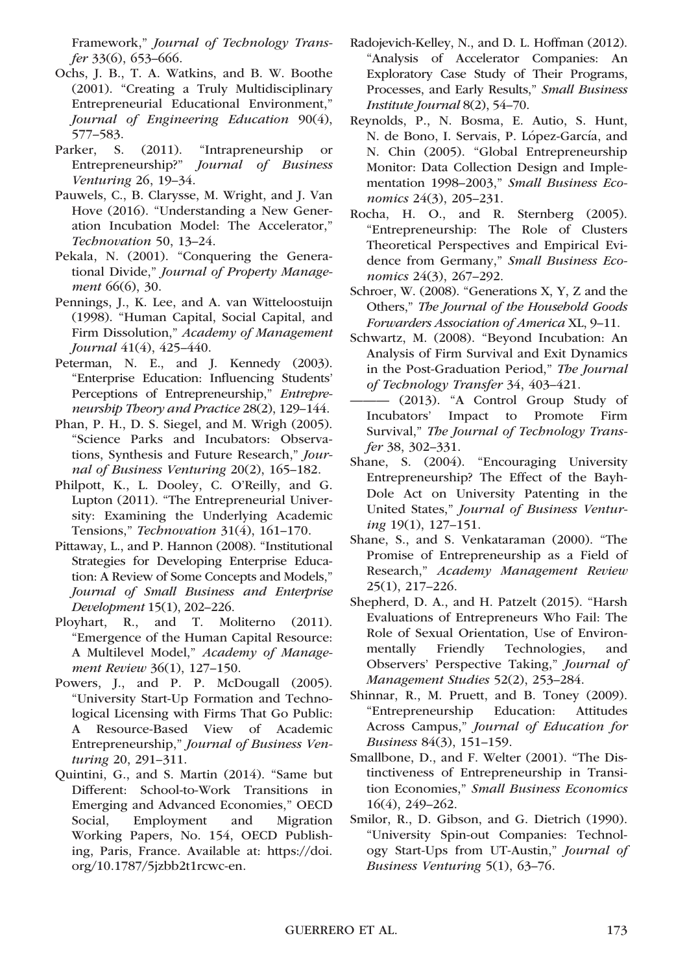Framework," Journal of Technology Transfer 33(6), 653–666.

- Ochs, J. B., T. A. Watkins, and B. W. Boothe (2001). "Creating a Truly Multidisciplinary Entrepreneurial Educational Environment," Journal of Engineering Education 90(4), 577–583.
- Parker, S. (2011). "Intrapreneurship or Entrepreneurship?" Journal of Business Venturing 26, 19–34.
- Pauwels, C., B. Clarysse, M. Wright, and J. Van Hove (2016). "Understanding a New Generation Incubation Model: The Accelerator," Technovation 50, 13–24.
- Pekala, N. (2001). "Conquering the Generational Divide," Journal of Property Management 66(6), 30.
- Pennings, J., K. Lee, and A. van Witteloostuijn (1998). "Human Capital, Social Capital, and Firm Dissolution," Academy of Management Journal 41(4), 425–440.
- Peterman, N. E., and J. Kennedy (2003). "Enterprise Education: Influencing Students' Perceptions of Entrepreneurship," Entrepreneurship Theory and Practice 28(2), 129–144.
- Phan, P. H., D. S. Siegel, and M. Wrigh (2005). "Science Parks and Incubators: Observations, Synthesis and Future Research," Journal of Business Venturing 20(2), 165–182.
- Philpott, K., L. Dooley, C. O'Reilly, and G. Lupton (2011). "The Entrepreneurial University: Examining the Underlying Academic Tensions," Technovation 31(4), 161–170.
- Pittaway, L., and P. Hannon (2008). "Institutional Strategies for Developing Enterprise Education: A Review of Some Concepts and Models," Journal of Small Business and Enterprise Development 15(1), 202–226.
- Ployhart, R., and T. Moliterno (2011). "Emergence of the Human Capital Resource: A Multilevel Model," Academy of Management Review 36(1), 127-150.
- Powers, J., and P. P. McDougall (2005). "University Start-Up Formation and Technological Licensing with Firms That Go Public: A Resource-Based View of Academic Entrepreneurship," Journal of Business Venturing 20, 291–311.
- Quintini, G., and S. Martin (2014). "Same but Different: School-to-Work Transitions in Emerging and Advanced Economies," OECD Social, Employment and Migration Working Papers, No. 154, OECD Publishing, Paris, France. Available at: [https://doi.](https://doi.org/10.1787/5jzbb2t1rcwc-en) [org/10.1787/5jzbb2t1rcwc-en](https://doi.org/10.1787/5jzbb2t1rcwc-en).
- Radojevich-Kelley, N., and D. L. Hoffman (2012). "Analysis of Accelerator Companies: An Exploratory Case Study of Their Programs, Processes, and Early Results," Small Business Institute Journal 8(2), 54–70.
- Reynolds, P., N. Bosma, E. Autio, S. Hunt, N. de Bono, I. Servais, P. López-García, and N. Chin (2005). "Global Entrepreneurship Monitor: Data Collection Design and Implementation 1998–2003," Small Business Economics 24(3), 205–231.
- Rocha, H. O., and R. Sternberg (2005). "Entrepreneurship: The Role of Clusters Theoretical Perspectives and Empirical Evidence from Germany," Small Business Economics 24(3), 267–292.
- Schroer, W. (2008). "Generations X, Y, Z and the Others," The Journal of the Household Goods Forwarders Association of America XL, 9–11.
- Schwartz, M. (2008). "Beyond Incubation: An Analysis of Firm Survival and Exit Dynamics in the Post-Graduation Period," The Journal of Technology Transfer 34, 403–421.
- ——— (2013). "A Control Group Study of Incubators' Impact to Promote Firm Survival," The Journal of Technology Transfer 38, 302–331.
- Shane, S. (2004). "Encouraging University Entrepreneurship? The Effect of the Bayh-Dole Act on University Patenting in the United States," Journal of Business Venturing 19(1), 127–151.
- Shane, S., and S. Venkataraman (2000). "The Promise of Entrepreneurship as a Field of Research," Academy Management Review 25(1), 217–226.
- Shepherd, D. A., and H. Patzelt (2015). "Harsh Evaluations of Entrepreneurs Who Fail: The Role of Sexual Orientation, Use of Environmentally Friendly Technologies, and Observers' Perspective Taking," Journal of Management Studies 52(2), 253–284.
- Shinnar, R., M. Pruett, and B. Toney (2009). "Entrepreneurship Education: Attitudes Across Campus," Journal of Education for Business 84(3), 151–159.
- Smallbone, D., and F. Welter (2001). "The Distinctiveness of Entrepreneurship in Transition Economies," Small Business Economics 16(4), 249–262.
- Smilor, R., D. Gibson, and G. Dietrich (1990). "University Spin-out Companies: Technology Start-Ups from UT-Austin," Journal of Business Venturing 5(1), 63–76.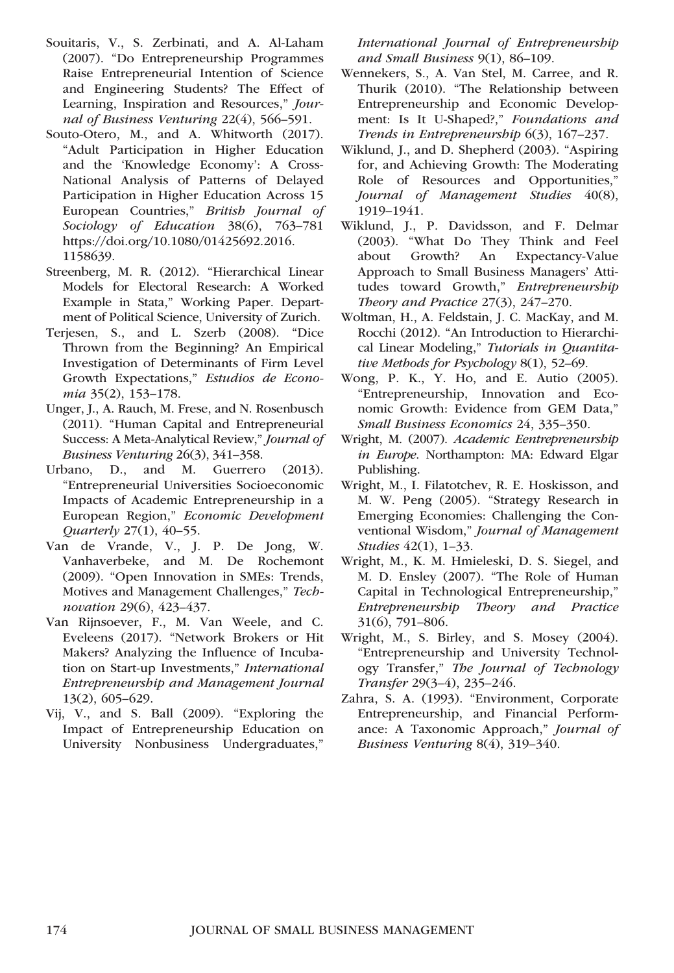- Souitaris, V., S. Zerbinati, and A. Al-Laham (2007). "Do Entrepreneurship Programmes Raise Entrepreneurial Intention of Science and Engineering Students? The Effect of Learning, Inspiration and Resources," Journal of Business Venturing 22(4), 566–591.
- Souto-Otero, M., and A. Whitworth (2017). "Adult Participation in Higher Education and the 'Knowledge Economy': A Cross-National Analysis of Patterns of Delayed Participation in Higher Education Across 15 European Countries," British Journal of Sociology of Education 38(6), 763-781 [https://doi.org/10.1080/01425692.2016.](https://doi.org/10.1080/01425692.2016.1158639) [1158639.](https://doi.org/10.1080/01425692.2016.1158639)
- Streenberg, M. R. (2012). "Hierarchical Linear Models for Electoral Research: A Worked Example in Stata," Working Paper. Department of Political Science, University of Zurich.
- Terjesen, S., and L. Szerb (2008). "Dice Thrown from the Beginning? An Empirical Investigation of Determinants of Firm Level Growth Expectations," Estudios de Economia 35(2), 153–178.
- Unger, J., A. Rauch, M. Frese, and N. Rosenbusch (2011). "Human Capital and Entrepreneurial Success: A Meta-Analytical Review," Journal of Business Venturing 26(3), 341–358.
- Urbano, D., and M. Guerrero (2013). "Entrepreneurial Universities Socioeconomic Impacts of Academic Entrepreneurship in a European Region," Economic Development Quarterly 27(1), 40–55.
- Van de Vrande, V., J. P. De Jong, W. Vanhaverbeke, and M. De Rochemont (2009). "Open Innovation in SMEs: Trends, Motives and Management Challenges," Technovation 29(6), 423–437.
- Van Rijnsoever, F., M. Van Weele, and C. Eveleens (2017). "Network Brokers or Hit Makers? Analyzing the Influence of Incubation on Start-up Investments," International Entrepreneurship and Management Journal 13(2), 605–629.
- Vij, V., and S. Ball (2009). "Exploring the Impact of Entrepreneurship Education on University Nonbusiness Undergraduates,"

International Journal of Entrepreneurship and Small Business 9(1), 86–109.

- Wennekers, S., A. Van Stel, M. Carree, and R. Thurik (2010). "The Relationship between Entrepreneurship and Economic Development: Is It U-Shaped?," Foundations and Trends in Entrepreneurship 6(3), 167–237.
- Wiklund, J., and D. Shepherd (2003). "Aspiring for, and Achieving Growth: The Moderating Role of Resources and Opportunities," Journal of Management Studies 40(8), 1919–1941.
- Wiklund, J., P. Davidsson, and F. Delmar (2003). "What Do They Think and Feel An Expectancy-Value Approach to Small Business Managers' Attitudes toward Growth," Entrepreneurship Theory and Practice 27(3), 247–270.
- Woltman, H., A. Feldstain, J. C. MacKay, and M. Rocchi (2012). "An Introduction to Hierarchical Linear Modeling," Tutorials in Quantitative Methods for Psychology 8(1), 52–69.
- Wong, P. K., Y. Ho, and E. Autio (2005). "Entrepreneurship, Innovation and Economic Growth: Evidence from GEM Data," Small Business Economics 24, 335–350.
- Wright, M. (2007). Academic Eentrepreneurship in Europe. Northampton: MA: Edward Elgar Publishing.
- Wright, M., I. Filatotchev, R. E. Hoskisson, and M. W. Peng (2005). "Strategy Research in Emerging Economies: Challenging the Conventional Wisdom," Journal of Management Studies 42(1), 1–33.
- Wright, M., K. M. Hmieleski, D. S. Siegel, and M. D. Ensley (2007). "The Role of Human Capital in Technological Entrepreneurship," Entrepreneurship Theory and Practice 31(6), 791–806.
- Wright, M., S. Birley, and S. Mosey (2004). "Entrepreneurship and University Technology Transfer," The Journal of Technology Transfer 29(3–4), 235–246.
- Zahra, S. A. (1993). "Environment, Corporate Entrepreneurship, and Financial Performance: A Taxonomic Approach," Journal of Business Venturing 8(4), 319–340.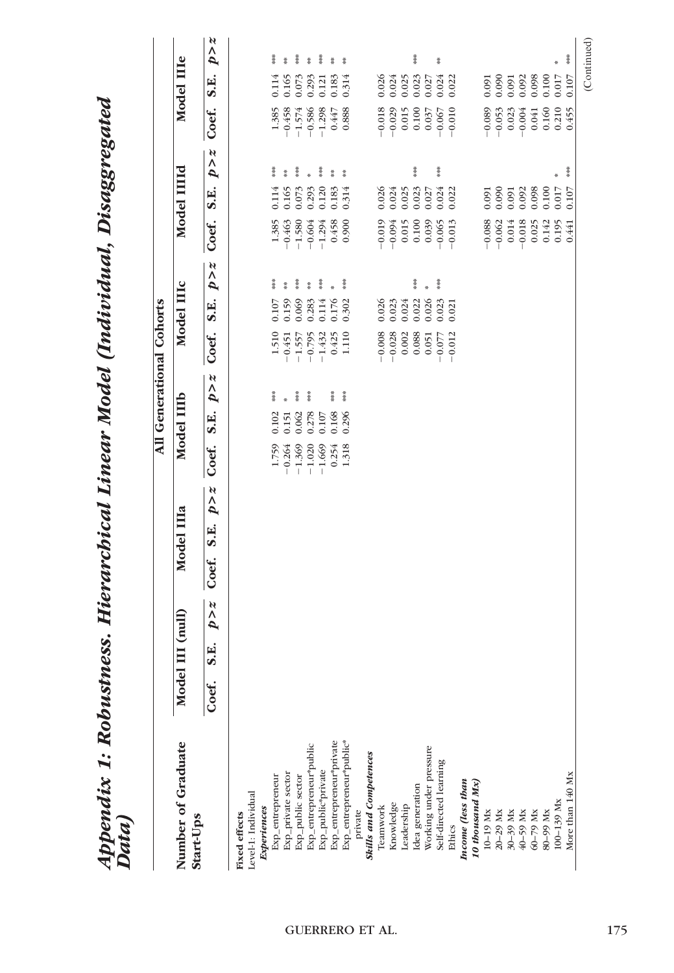| Appendix 1: Robustness. Hierarchical Linear Model (Individual, Disaggregated<br>Data) |                                                        |                                    |                                 |                                 |                                      |            |                            |
|---------------------------------------------------------------------------------------|--------------------------------------------------------|------------------------------------|---------------------------------|---------------------------------|--------------------------------------|------------|----------------------------|
|                                                                                       |                                                        |                                    | All Generational Cohorts        |                                 |                                      |            |                            |
| Number of Graduate<br>Start-Ups                                                       | $\prod$ (null)<br>Model I                              | Model IIIa                         | Model IIIb                      | Model IIIc                      | Model IIIId                          | Model IIIe |                            |
|                                                                                       | N<br>٨<br>$\overline{\mathbf{p}}$<br>E.<br>ဖာ<br>Coef. | N<br>$\mathbf{p}$<br>S.E.<br>Coef. | $p \times z$<br>S.E.<br>Coef.   | p > z<br>S.E.<br>Coef.          | $p \times z$<br>S.E.<br>Coef.        | Coef.      | $p \times z$<br>S.E.       |
| Level-1: Individual<br>Fixed effects                                                  |                                                        |                                    |                                 |                                 |                                      |            |                            |
| <b>Experiences</b>                                                                    |                                                        |                                    |                                 |                                 |                                      |            |                            |
| Exp_entrepreneur                                                                      |                                                        |                                    | 草茶<br>0.102<br>1.759            | 葦葉<br>0.107<br>1.510            | 葦井<br>0.114<br>1.385                 | 1.385      | 葦葉<br>0.114                |
| Exp_private sector                                                                    |                                                        |                                    | 0.151<br>$-0.264$               | Ř<br>0.159<br>$-0.451$          | $\frac{36}{36}$<br>0.165<br>$-0.463$ | $-0.458$   | 贵<br>0.165                 |
| Exp_public sector                                                                     |                                                        |                                    | 幕<br>0.062<br>$-1.369$          | 草茶<br>0.069<br>$-1.557$         | 草茶<br>0.073<br>$-1.580$              | $-1.574$   | 幕<br>0.073                 |
| Exp_entrepreneur*public                                                               |                                                        |                                    | 葦葉<br>0.278<br>$-1.020$         | \$<br>0.283<br>$-0.795$         | 0.293<br>$-0.604$                    | $-0.586$   | $\frac{1}{2}$<br>0.293     |
| Exp_public*private                                                                    |                                                        |                                    | 0.107<br>$-1.669$               | 黄米<br>0.114<br>$-1.432$         | 普米<br>0.120<br>$-1.294$              | $-1.298$   | 普米<br>0.121                |
| Exp_entrepreneur*private                                                              |                                                        |                                    | 草茶<br>0.168<br>0.254            | 0.176<br>0.425                  | $\frac{48}{36}$<br>0.183<br>0.458    | 0.447      | $\frac{4}{3}$<br>0.183     |
| Exp_entrepreneur*public*                                                              |                                                        |                                    | $\frac{3}{2}$<br>0.296<br>1.318 | $\frac{3}{2}$<br>0.302<br>1.110 | $\ddot{\ddot{x}}$<br>0.314<br>0.900  | 0.888      | $\ddot{\ddot{x}}$<br>0.314 |
| private                                                                               |                                                        |                                    |                                 |                                 |                                      |            |                            |
| <b>Skills and Competences</b><br>Teamwork                                             |                                                        |                                    |                                 | 0.026<br>$-0.008$               | 0.026<br>$-0.019$                    | $-0.018$   | 0.026                      |
| Knowledge                                                                             |                                                        |                                    |                                 | 0.023<br>$-0.028$               | 0.024<br>$-0.094$                    | $-0.029$   | 0.024                      |
| Leadership                                                                            |                                                        |                                    |                                 | 0.024<br>0.002                  | 0.025<br>0.015                       | 0.015      | 0.025                      |
| Idea generation                                                                       |                                                        |                                    |                                 | 葦葉<br>0.022<br>0.088            | 葦葉<br>0.023<br>0.100                 | 0.100      | 草茶<br>0.023                |
| Working under pressure                                                                |                                                        |                                    |                                 | 0.026<br>0.051                  | 0.027<br>0.039                       | 0.037      | 0.027                      |
| Self-directed learning                                                                |                                                        |                                    |                                 | 幕<br>0.023<br>$-0.077$          | 草茶<br>0.024<br>$-0.065$              | $-0.067$   | $\frac{16}{16}$<br>0.024   |
| Income (less than<br>Ethics                                                           |                                                        |                                    |                                 | 0.021<br>$-0.012$               | 0.022<br>$-0.013$                    | $-0.010$   | 0.022                      |
| 10 thousand Mx)                                                                       |                                                        |                                    |                                 |                                 |                                      |            |                            |
| 10-19 Mx                                                                              |                                                        |                                    |                                 |                                 | 0.091<br>$-0.088$                    | $-0.089$   | 0.091                      |
| 20-29 Mx                                                                              |                                                        |                                    |                                 |                                 | 0.090<br>$-0.062$                    | $-0.053$   | 0.090                      |
| 30-39 Mx                                                                              |                                                        |                                    |                                 |                                 | 0.091<br>0.014                       | 0.023      | 0.091                      |
| 40-59 Mx                                                                              |                                                        |                                    |                                 |                                 | 0.092<br>$-0.018$                    | $-0.004$   | 0.092                      |
| 60-79 Mx                                                                              |                                                        |                                    |                                 |                                 | 0.098<br>0.025                       | 0.041      | 0.098                      |
| 80-99 Mx                                                                              |                                                        |                                    |                                 |                                 | 0.100<br>0.142                       | 0.160      | 0.100                      |
| 100-139 Mx                                                                            |                                                        |                                    |                                 |                                 | 茶<br>×<br>0.017<br>0.195             | 0.210      | 半中<br>0.017                |
| More than 140 Mx                                                                      |                                                        |                                    |                                 |                                 | 0.107<br>0.441                       | 0.455      | 0.107                      |
|                                                                                       |                                                        |                                    |                                 |                                 |                                      |            | (Continued)                |

GUERRERO ET AL. 175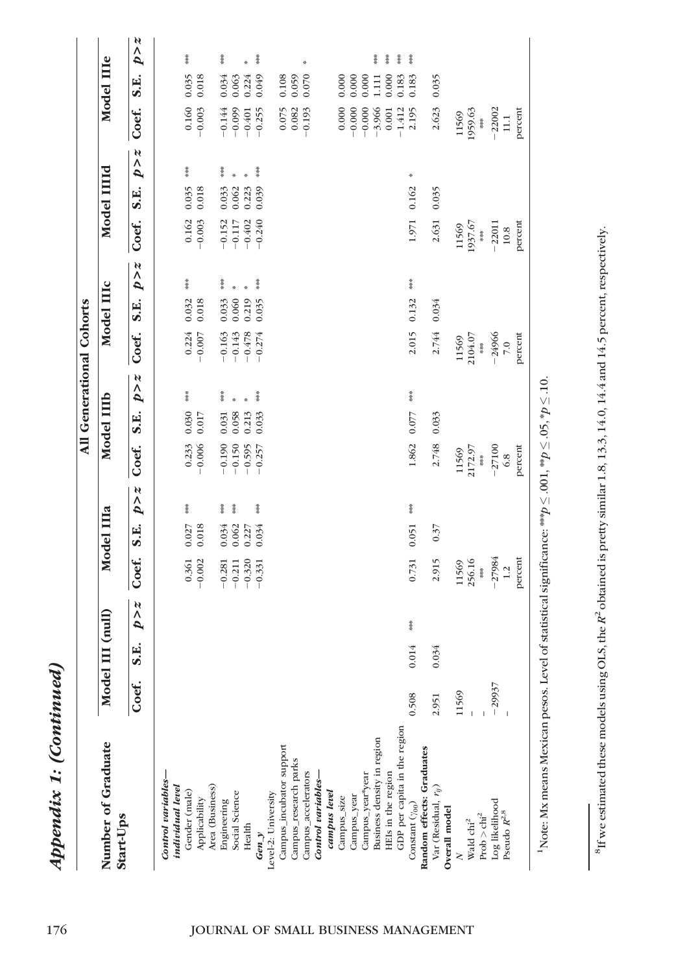|                                  |          |                     |              |           |             |              |          |             |              | All Generational Cohorts |                         |              |                      |                         |              |                                               |                   |       |
|----------------------------------|----------|---------------------|--------------|-----------|-------------|--------------|----------|-------------|--------------|--------------------------|-------------------------|--------------|----------------------|-------------------------|--------------|-----------------------------------------------|-------------------|-------|
| Number of Graduate<br>Start-Ups  | Model    | $\text{III}$ (null) |              |           | Model IIIa  |              |          | Model IIIb  |              |                          | Model IIIc              |              |                      | Model IIIId             |              |                                               | Model IIIe        |       |
|                                  | Coef.    | Ë.<br>ω             | $p \times z$ | Coef.     | <b>S.E.</b> | $p \times z$ | Coef.    | S.E.        | $p \times z$ | Coef.                    | $\ddot{\mathbf{s}}$ .E. | $p \times z$ | Coef.                | $\ddot{\mathbf{s}}$ .E. | $p \times z$ | Coef.                                         | <b>S.E.</b>       | p > z |
| Control variables-               |          |                     |              |           |             |              |          |             |              |                          |                         |              |                      |                         |              |                                               |                   |       |
| individual level                 |          |                     |              |           |             |              |          |             |              |                          |                         |              |                      |                         |              |                                               |                   |       |
| Gender (male)                    |          |                     |              | $0.361\,$ | 0.027       | 计结构          |          | 0.030       | 草茶           | $-0.224$<br>$-0.007$     | 0.032                   | 神社社          |                      | 0.035                   | 神社社          |                                               | 0.035             | おお茶   |
| Applicability                    |          |                     |              | $-0.002$  | 0.018       |              | $-0.233$ | 0.017       |              |                          | 0.018                   |              | $-0.162$<br>$-0.003$ | 0.018                   |              | $-0.160$<br>$-0.003$                          | 0.018             |       |
| Area (Business)                  |          |                     |              |           |             |              |          |             |              |                          |                         |              |                      |                         |              |                                               |                   |       |
| Engineering                      |          |                     |              | $-0.281$  | 0.034       | 茶茶           | $-0.190$ | 0.031       | 幕            | $-0.163$                 | 0.033                   | 幕            | $-0.152$             | 0.033                   | 草茶           | $-0.144$                                      | 0.034             | 葦茶    |
| Social Science                   |          |                     |              | $-0.211$  | 0.062       | 神社社          | $-0.150$ | 0.058       |              | $-0.143$                 | 0.060                   |              | $-0.117$             | 0.062                   |              | $-0.099$                                      | 0.063             |       |
| Health                           |          |                     |              | $-0.320$  | 0.227       |              | $-0.595$ | 0.213       |              | $-0.478$                 | 0.219                   |              | $-0.402$             | 0.223                   |              | $-0.401$                                      | 0.224             |       |
| Gen $y$                          |          |                     |              | $-0.331$  | 0.034       | 神話           | $-0.257$ | 0.033       | 计字符          | $-0.274$                 | 0.035                   | 葦茶           | $-0.240$             | 0.039                   | 神奈           | $-0.255$                                      | 0.049             | 神奈    |
| Level-2: University              |          |                     |              |           |             |              |          |             |              |                          |                         |              |                      |                         |              |                                               |                   |       |
| Campus_incubator support         |          |                     |              |           |             |              |          |             |              |                          |                         |              |                      |                         |              |                                               | 0.108             |       |
| Campus_research parks            |          |                     |              |           |             |              |          |             |              |                          |                         |              |                      |                         |              | $\begin{array}{c} 0.075 \\ 0.082 \end{array}$ | 0.059             |       |
| Campus_accelerators              |          |                     |              |           |             |              |          |             |              |                          |                         |              |                      |                         |              | $-0.193$                                      | 0.070             | ×     |
| Control variables-               |          |                     |              |           |             |              |          |             |              |                          |                         |              |                      |                         |              |                                               |                   |       |
| campus level                     |          |                     |              |           |             |              |          |             |              |                          |                         |              |                      |                         |              |                                               |                   |       |
| Campus_size                      |          |                     |              |           |             |              |          |             |              |                          |                         |              |                      |                         |              | 0.000                                         | 0.000             |       |
| Campus_year                      |          |                     |              |           |             |              |          |             |              |                          |                         |              |                      |                         |              | $-0.000$                                      | 0.000             |       |
| Campus_year*year                 |          |                     |              |           |             |              |          |             |              |                          |                         |              |                      |                         |              | $-0.000$                                      | 0.000             |       |
| Business density in region       |          |                     |              |           |             |              |          |             |              |                          |                         |              |                      |                         |              | $-3.966$                                      | $\frac{111}{111}$ | 葦葉    |
| HEIs in the region               |          |                     |              |           |             |              |          |             |              |                          |                         |              |                      |                         |              | 0.001                                         | 0.000             | 黄米    |
| GDP per capita in the region     |          |                     |              |           |             |              |          |             |              |                          |                         |              |                      |                         |              | $-1.412$                                      | 0.183             | 幕条    |
| Constant $(\gamma_{00})$         | 0.508    | 0.014               | 茶中茶          | 0.731     | $0.051$ *** |              | 1.862    | $0.077$ *** |              | 2.015                    | 0.132                   | 茶茶茶          | 1.971 0.162          |                         | ₩            | 2.195                                         | 0.183             | 草茶    |
| Random effects: Graduates        |          |                     |              |           |             |              |          |             |              |                          |                         |              |                      |                         |              |                                               |                   |       |
| Var (Residual, $r_{ij}$ )        | 2.951    | 0.034               |              | 2.915     | 0.37        |              | 2.748    | 0.033       |              | 2.744                    | 0.034                   |              | 2.631                | 0.035                   |              | 2.623                                         | 0.035             |       |
| Overall model                    |          |                     |              |           |             |              |          |             |              |                          |                         |              |                      |                         |              |                                               |                   |       |
| $\geq$                           | 11569    |                     |              | 11569     |             |              | 11569    |             |              | 11569                    |                         |              | 11569                |                         |              | 11569                                         |                   |       |
| Wald chi <sup>2</sup>            |          |                     |              | 256.16    |             |              | 2172.97  |             |              | 2104.07                  |                         |              | 1937.67              |                         |              | 1959.63                                       |                   |       |
| $\mathrm{Prob} > \mathrm{chi}^2$ |          |                     |              | 计结构       |             |              | ***      |             |              | $\frac{3}{2}$            |                         |              | 茶茶                   |                         |              | 茶を                                            |                   |       |
| Log likelihood                   | $-29937$ |                     |              | $-27984$  |             |              | $-27100$ |             |              | $-24966$                 |                         |              | $-22011$             |                         |              | $-22002$                                      |                   |       |
| Pseudo $\mathbb{R}^{2,8}$        |          |                     |              | 1.2       |             |              | $6.8\,$  |             |              | 7.0                      |                         |              | $10.8\,$             |                         |              | $11.1\,$                                      |                   |       |
|                                  |          |                     |              | percent   |             |              | percent  |             |              | percent                  |                         |              | percent              |                         |              | percent                                       |                   |       |
|                                  |          |                     |              |           |             |              |          |             |              |                          |                         |              |                      |                         |              |                                               |                   |       |

<sup>1</sup>Note: Mx means Mexican pesos. Level of statistical significance: \*\*\*  $p \leq$  $\leq 0.001$ ,  $^{**}p \leq$  $\leq 0$ 5,  $^*p \leq$ <sup>1</sup>Note: Mx means Mexican pesos. Level of statistical significance: \*\*\*  $p \leq .001$ , \*\* $p \leq .05$ , \* $p \leq .10$ .

Appendix 1: (Continued)

Appendix 1: (Continued)

<sup>&</sup>lt;sup>8</sup>If we estimated these models using OLS, the  $R^2$  obtained is pretty similar 1.8, 13.3, 14.0, 14.4 and 14.5 percent, respectively. If we estimated these models using OLS, the R<sup>2</sup> obtained is pretty similar 1.8, 13.3, 14.0, 14.4 and 14.5 percent, respectively.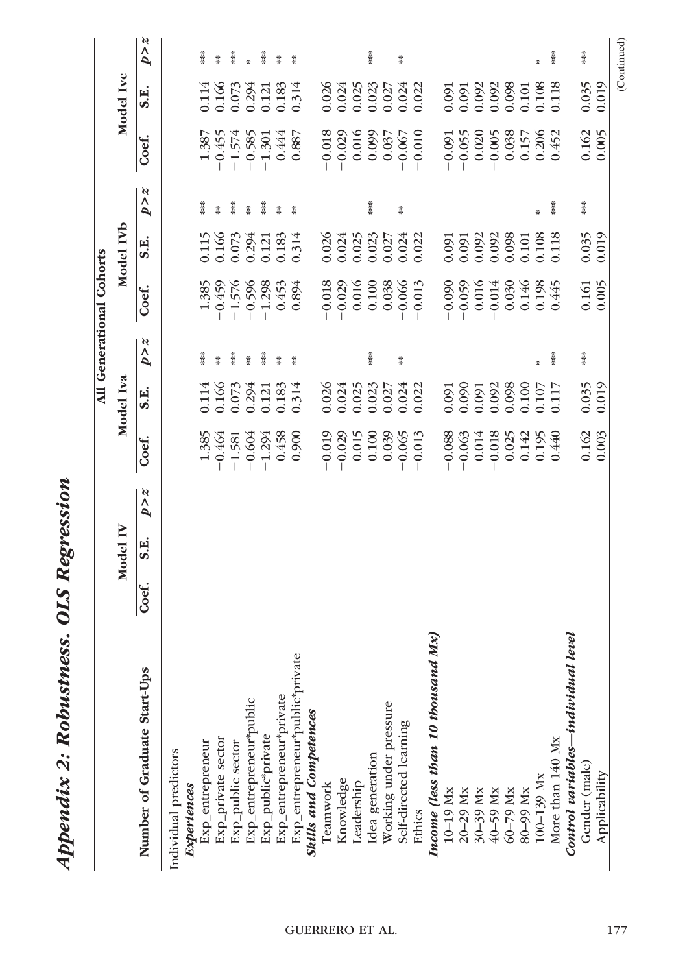|                                                                                                                                                                         |       |          |             |          |                    |                   | All Generational Cohorts |                    |                     |          |                |                  |
|-------------------------------------------------------------------------------------------------------------------------------------------------------------------------|-------|----------|-------------|----------|--------------------|-------------------|--------------------------|--------------------|---------------------|----------|----------------|------------------|
|                                                                                                                                                                         |       | Model IV |             |          | Model Iva          |                   |                          | Model IVb          |                     |          | Model Ivc      |                  |
| Number of Graduate Start-Ups                                                                                                                                            | Coef. | S.E.     | N<br>٨<br>Þ | Coef.    | S.E.               | N<br>$\mathbf{p}$ | Coef.                    | S.E.               | N<br>$\overline{p}$ | Coef.    | S.E.           | N<br>$\tilde{p}$ |
| Individual predictors                                                                                                                                                   |       |          |             |          |                    |                   |                          |                    |                     |          |                |                  |
| Experiences                                                                                                                                                             |       |          |             |          |                    |                   |                          |                    |                     |          |                |                  |
| Exp_entrepreneur                                                                                                                                                        |       |          |             | 1.385    |                    | ×                 | 1.385                    |                    | Ĭ                   | 1.387    | $0.114\,$      | Ĭ                |
| Exp_private sector                                                                                                                                                      |       |          |             | $-0.464$ | 0.114<br>0.166     | Ĭ                 | $-0.459$                 | 0.115<br>0.166     | Ť                   | $-0.455$ | 0.166          | Ť                |
| Exp_public sector                                                                                                                                                       |       |          |             | $-1.581$ | 0.073              | Ĭ                 | $-1.576$                 | 0.073              | ***                 | $-1.574$ | 0.073          | İ                |
| Exp_entrepreneur*public                                                                                                                                                 |       |          |             | $-0.604$ | 0.294              | Ĭ                 | $-0.596$                 | 0.294              | Ĭ                   | $-0.585$ | 0.294          | $\ddot{x}$       |
| Exp_public*private                                                                                                                                                      |       |          |             | $-1.294$ | 0.121              | <b>Mark</b>       | $-1.298$                 | 0.121              | Ť                   | $-1.301$ | 0.121          | <b>Mark</b>      |
| Exp_entrepreneur*private                                                                                                                                                |       |          |             | 0.458    | 0.183              | Ĭ                 | 0.453                    | 0.183              | Ĭ                   | 0.444    | 0.183          | Ï                |
| Exp_entrepreneur*public*private                                                                                                                                         |       |          |             | 0.900    | 0.314              | Ĭ                 | 0.894                    | 0.314              | Ĭ                   | 0.887    | 0.314          | Ĭ                |
| <b>Skills and Competences</b>                                                                                                                                           |       |          |             |          |                    |                   |                          |                    |                     |          |                |                  |
| Teamwork                                                                                                                                                                |       |          |             | $-0.019$ |                    |                   | $-0.018$                 |                    |                     | $-0.018$ |                |                  |
| Knowledge                                                                                                                                                               |       |          |             | $-0.029$ | $0.026$<br>$0.024$ |                   | $-0.029$                 | $0.026$<br>$0.024$ |                     | $-0.029$ | 0.026<br>0.024 |                  |
| Leadership                                                                                                                                                              |       |          |             | 0.015    | 0.025              |                   | 0.016                    | 0.025              |                     | 0.016    | 0.025          |                  |
| Idea generation                                                                                                                                                         |       |          |             | 0.100    | 0.023              | ×                 | 0.100                    | 0.023              | Ĭ                   | 0.099    | 0.023          | $\frac{1}{2}$    |
| Working under pressure                                                                                                                                                  |       |          |             | 0.039    | 0.027              |                   | 0.038                    | 0.027              |                     | 0.037    | 0.027          |                  |
| Self-directed learning                                                                                                                                                  |       |          |             | $-0.065$ | 0.024              | Ĭ                 | $-0.066$                 | 0.024              | Ĭ                   | $-0.067$ | 0.024          | Ĭ                |
| Ethics                                                                                                                                                                  |       |          |             | $-0.013$ | 0.022              |                   | $-0.013$                 | 0.022              |                     | $-0.010$ | 0.022          |                  |
| Mx)<br>Income (less than 10 thousand                                                                                                                                    |       |          |             |          |                    |                   |                          |                    |                     |          |                |                  |
| 10-19 Mx                                                                                                                                                                |       |          |             | $-0.088$ | 0.091              |                   | $-0.090$                 | 0.091              |                     | $-0.091$ | 0.091          |                  |
| $\begin{array}{l} 20\text{--}29 \text{ Mx} \\ 30\text{--}39 \text{ Mx} \\ 40\text{--}59 \text{ Mx} \\ 60\text{--}79 \text{ Mx} \\ 60\text{--}79 \text{ Mx} \end{array}$ |       |          |             | $-0.063$ | 0.090              |                   | $-0.059$                 | 0.091              |                     | $-0.055$ | 0.091          |                  |
|                                                                                                                                                                         |       |          |             | 0.014    | 0.091              |                   | 0.016                    | 0.092              |                     | 0.020    | 0.092          |                  |
|                                                                                                                                                                         |       |          |             | 0.018    | 0.092              |                   | $-0.014$                 | 0.092              |                     | $-0.005$ | 0.092          |                  |
|                                                                                                                                                                         |       |          |             | 0.025    | 0.098              |                   | 0.030                    | 0.098              |                     | 0.038    | 0.098          |                  |
|                                                                                                                                                                         |       |          |             | 0.142    | 0.100              |                   | 0.146                    | 0.101              |                     | 0.157    | $0.101\,$      |                  |
| 100-139 Mx                                                                                                                                                              |       |          |             | 0.195    | 0.107              | ÷                 | 0.198                    | 0.108              | ₩                   | 0.206    | 0.108          | ₩                |
| More than 140 Mx                                                                                                                                                        |       |          |             | 0.440    | 0.117              | ****              | 0.445                    | 0.118              | Ï                   | 0.452    | 0.118          | ****             |
| level<br>Control variables—individual                                                                                                                                   |       |          |             |          |                    |                   |                          |                    |                     |          |                |                  |
| Gender (male)                                                                                                                                                           |       |          |             | 0.162    | 0.035              | ***               | 0.161                    | 0.035              | ***                 | 0.162    | 0.035          | ****             |
| Applicability                                                                                                                                                           |       |          |             | 0.003    | 0.019              |                   | 0.005                    | 0.019              |                     | 0.005    | 0.019          |                  |
|                                                                                                                                                                         |       |          |             |          |                    |                   |                          |                    |                     |          |                | (Continued)      |

Appendix 2: Robustness. OLS Regression

Appendix 2: Robustness. OLS Regression